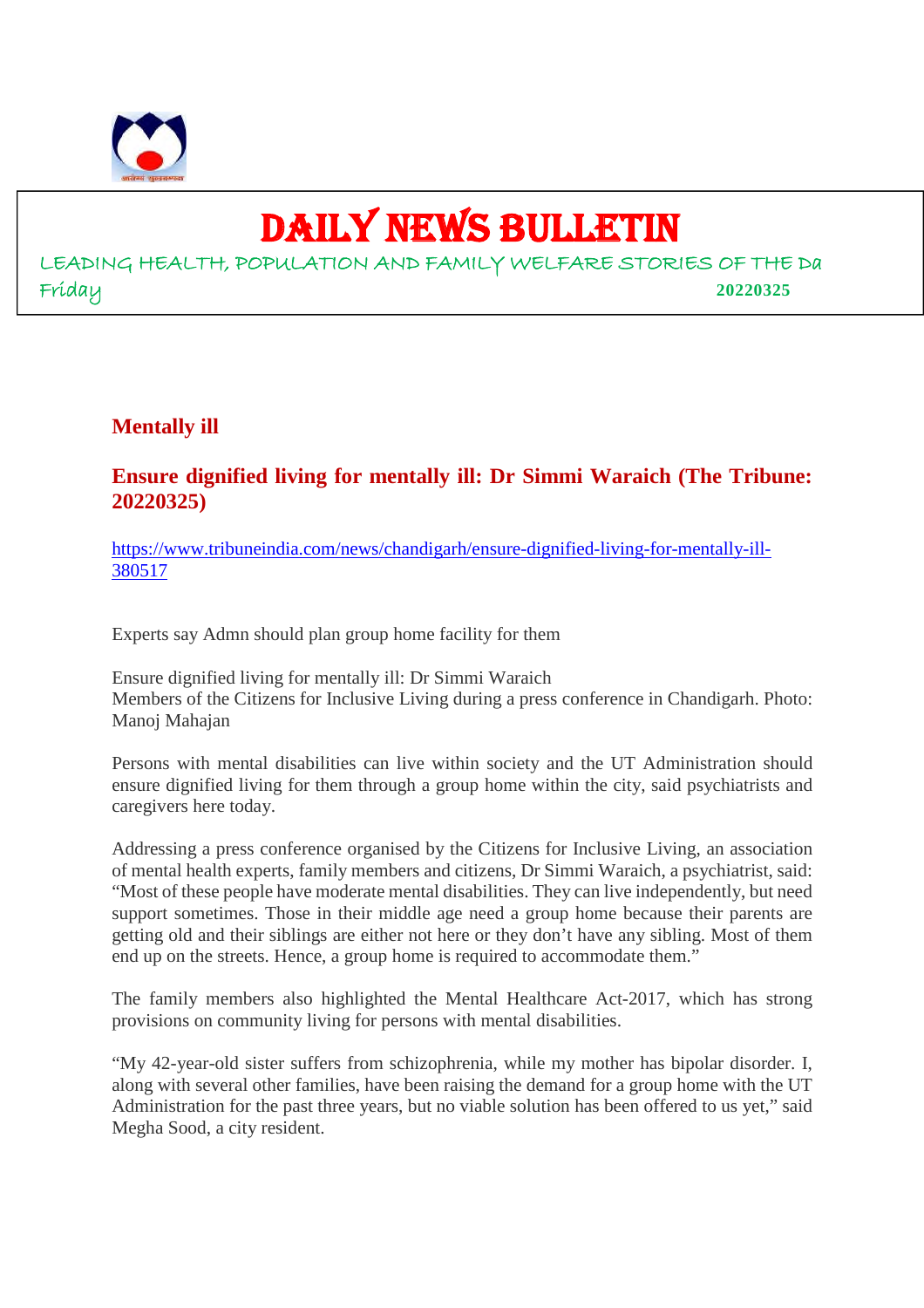

## DAILY NEWS BULLETIN

LEADING HEALTH, POPULATION AND FAMILY WELFARE STORIES OF THE Da Friday **20220325**

#### **Mentally ill**

#### **Ensure dignified living for mentally ill: Dr Simmi Waraich (The Tribune: 20220325)**

https://www.tribuneindia.com/news/chandigarh/ensure-dignified-living-for-mentally-ill-380517

Experts say Admn should plan group home facility for them

Ensure dignified living for mentally ill: Dr Simmi Waraich Members of the Citizens for Inclusive Living during a press conference in Chandigarh. Photo: Manoj Mahajan

Persons with mental disabilities can live within society and the UT Administration should ensure dignified living for them through a group home within the city, said psychiatrists and caregivers here today.

Addressing a press conference organised by the Citizens for Inclusive Living, an association of mental health experts, family members and citizens, Dr Simmi Waraich, a psychiatrist, said: "Most of these people have moderate mental disabilities. They can live independently, but need support sometimes. Those in their middle age need a group home because their parents are getting old and their siblings are either not here or they don't have any sibling. Most of them end up on the streets. Hence, a group home is required to accommodate them."

The family members also highlighted the Mental Healthcare Act-2017, which has strong provisions on community living for persons with mental disabilities.

"My 42-year-old sister suffers from schizophrenia, while my mother has bipolar disorder. I, along with several other families, have been raising the demand for a group home with the UT Administration for the past three years, but no viable solution has been offered to us yet," said Megha Sood, a city resident.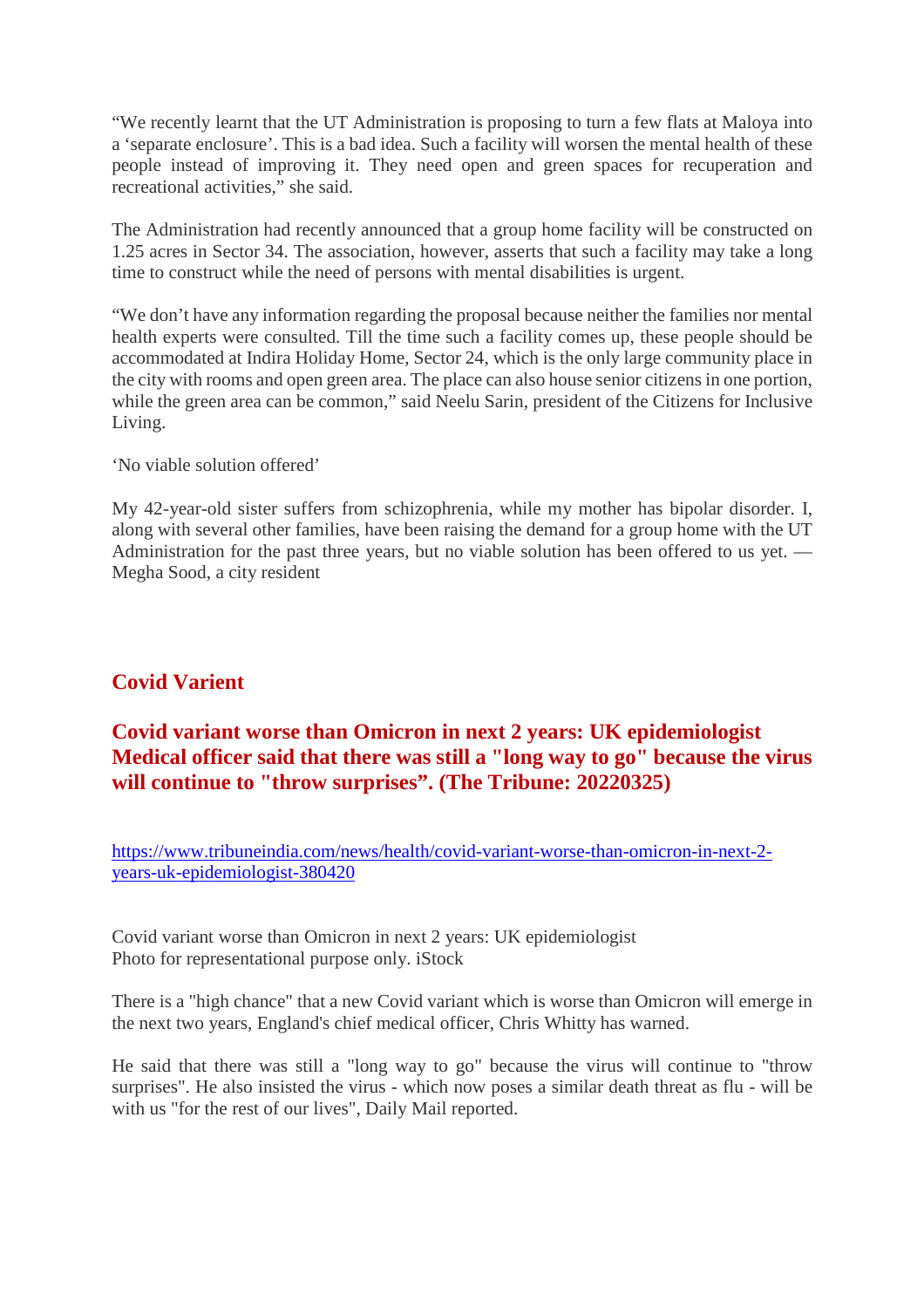"We recently learnt that the UT Administration is proposing to turn a few flats at Maloya into a 'separate enclosure'. This is a bad idea. Such a facility will worsen the mental health of these people instead of improving it. They need open and green spaces for recuperation and recreational activities," she said.

The Administration had recently announced that a group home facility will be constructed on 1.25 acres in Sector 34. The association, however, asserts that such a facility may take a long time to construct while the need of persons with mental disabilities is urgent.

"We don't have any information regarding the proposal because neither the families nor mental health experts were consulted. Till the time such a facility comes up, these people should be accommodated at Indira Holiday Home, Sector 24, which is the only large community place in the city with rooms and open green area. The place can also house senior citizens in one portion, while the green area can be common," said Neelu Sarin, president of the Citizens for Inclusive Living.

'No viable solution offered'

My 42-year-old sister suffers from schizophrenia, while my mother has bipolar disorder. I, along with several other families, have been raising the demand for a group home with the UT Administration for the past three years, but no viable solution has been offered to us yet. — Megha Sood, a city resident

#### **Covid Varient**

#### **Covid variant worse than Omicron in next 2 years: UK epidemiologist Medical officer said that there was still a "long way to go" because the virus will continue to "throw surprises". (The Tribune: 20220325)**

https://www.tribuneindia.com/news/health/covid-variant-worse-than-omicron-in-next-2 years-uk-epidemiologist-380420

Covid variant worse than Omicron in next 2 years: UK epidemiologist Photo for representational purpose only. iStock

There is a "high chance" that a new Covid variant which is worse than Omicron will emerge in the next two years, England's chief medical officer, Chris Whitty has warned.

He said that there was still a "long way to go" because the virus will continue to "throw surprises". He also insisted the virus - which now poses a similar death threat as flu - will be with us "for the rest of our lives", Daily Mail reported.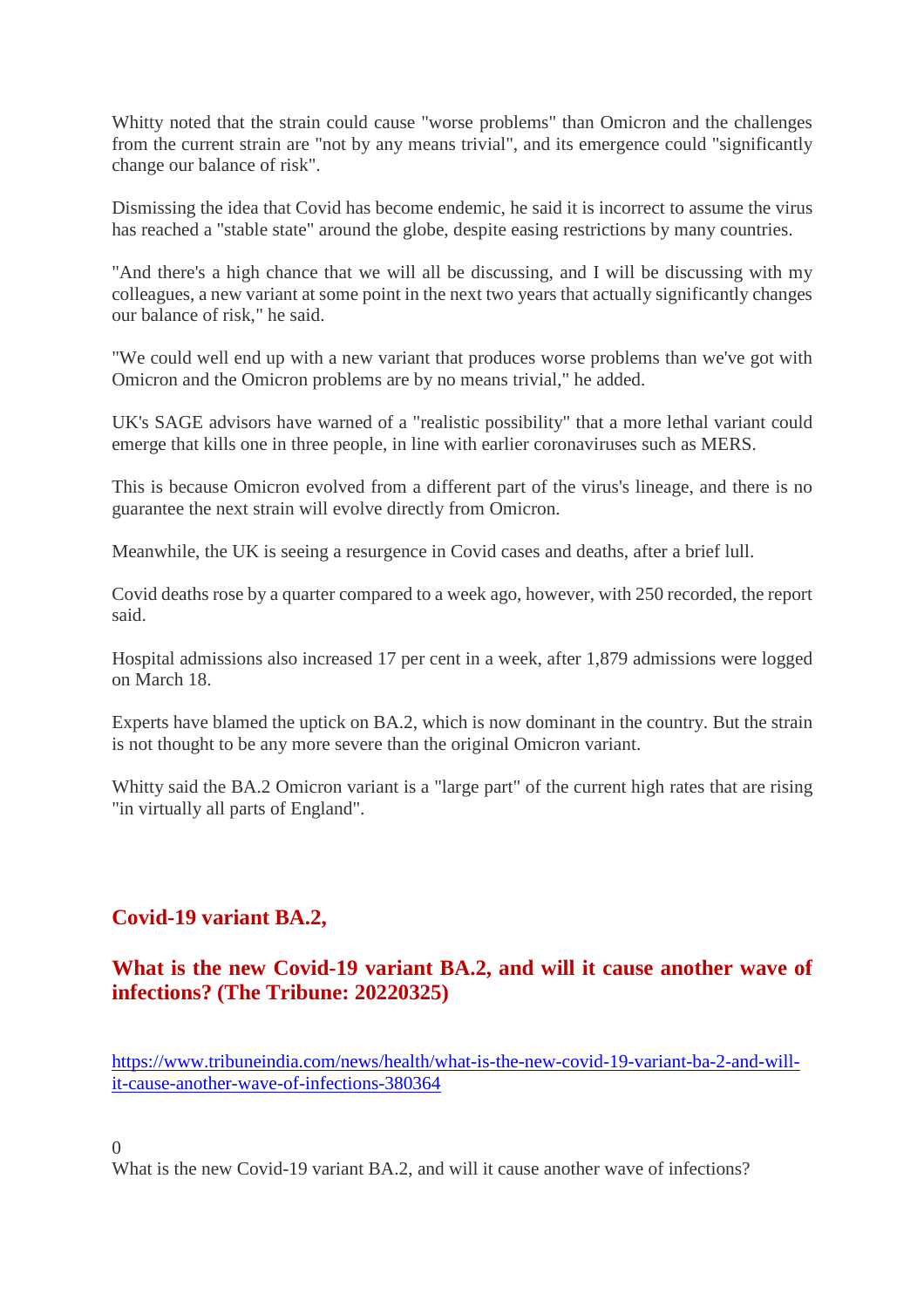Whitty noted that the strain could cause "worse problems" than Omicron and the challenges from the current strain are "not by any means trivial", and its emergence could "significantly change our balance of risk".

Dismissing the idea that Covid has become endemic, he said it is incorrect to assume the virus has reached a "stable state" around the globe, despite easing restrictions by many countries.

"And there's a high chance that we will all be discussing, and I will be discussing with my colleagues, a new variant at some point in the next two years that actually significantly changes our balance of risk," he said.

"We could well end up with a new variant that produces worse problems than we've got with Omicron and the Omicron problems are by no means trivial," he added.

UK's SAGE advisors have warned of a "realistic possibility" that a more lethal variant could emerge that kills one in three people, in line with earlier coronaviruses such as MERS.

This is because Omicron evolved from a different part of the virus's lineage, and there is no guarantee the next strain will evolve directly from Omicron.

Meanwhile, the UK is seeing a resurgence in Covid cases and deaths, after a brief lull.

Covid deaths rose by a quarter compared to a week ago, however, with 250 recorded, the report said.

Hospital admissions also increased 17 per cent in a week, after 1,879 admissions were logged on March 18.

Experts have blamed the uptick on BA.2, which is now dominant in the country. But the strain is not thought to be any more severe than the original Omicron variant.

Whitty said the BA.2 Omicron variant is a "large part" of the current high rates that are rising "in virtually all parts of England".

#### **Covid-19 variant BA.2,**

#### **What is the new Covid-19 variant BA.2, and will it cause another wave of infections? (The Tribune: 20220325)**

https://www.tribuneindia.com/news/health/what-is-the-new-covid-19-variant-ba-2-and-willit-cause-another-wave-of-infections-380364

 $\theta$ 

What is the new Covid-19 variant BA.2, and will it cause another wave of infections?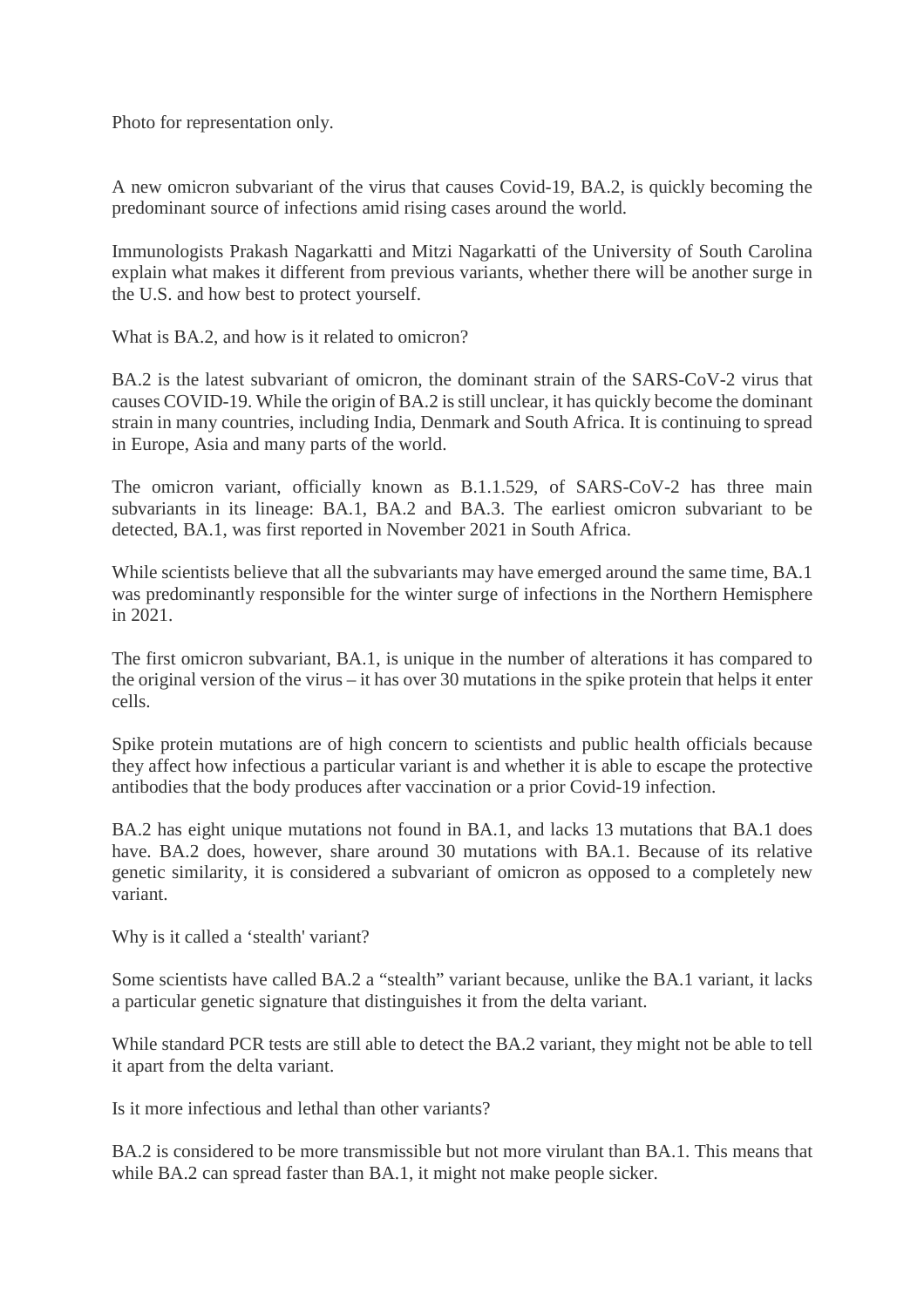Photo for representation only.

A new omicron subvariant of the virus that causes Covid-19, BA.2, is quickly becoming the predominant source of infections amid rising cases around the world.

Immunologists Prakash Nagarkatti and Mitzi Nagarkatti of the University of South Carolina explain what makes it different from previous variants, whether there will be another surge in the U.S. and how best to protect yourself.

What is BA.2, and how is it related to omicron?

BA.2 is the latest subvariant of omicron, the dominant strain of the SARS-CoV-2 virus that causes COVID-19. While the origin of BA.2 is still unclear, it has quickly become the dominant strain in many countries, including India, Denmark and South Africa. It is continuing to spread in Europe, Asia and many parts of the world.

The omicron variant, officially known as B.1.1.529, of SARS-CoV-2 has three main subvariants in its lineage: BA.1, BA.2 and BA.3. The earliest omicron subvariant to be detected, BA.1, was first reported in November 2021 in South Africa.

While scientists believe that all the subvariants may have emerged around the same time, BA.1 was predominantly responsible for the winter surge of infections in the Northern Hemisphere in 2021.

The first omicron subvariant, BA.1, is unique in the number of alterations it has compared to the original version of the virus – it has over 30 mutations in the spike protein that helps it enter cells.

Spike protein mutations are of high concern to scientists and public health officials because they affect how infectious a particular variant is and whether it is able to escape the protective antibodies that the body produces after vaccination or a prior Covid-19 infection.

BA.2 has eight unique mutations not found in BA.1, and lacks 13 mutations that BA.1 does have. BA.2 does, however, share around 30 mutations with BA.1. Because of its relative genetic similarity, it is considered a subvariant of omicron as opposed to a completely new variant.

Why is it called a 'stealth' variant?

Some scientists have called BA.2 a "stealth" variant because, unlike the BA.1 variant, it lacks a particular genetic signature that distinguishes it from the delta variant.

While standard PCR tests are still able to detect the BA.2 variant, they might not be able to tell it apart from the delta variant.

Is it more infectious and lethal than other variants?

BA.2 is considered to be more transmissible but not more virulant than BA.1. This means that while BA.2 can spread faster than BA.1, it might not make people sicker.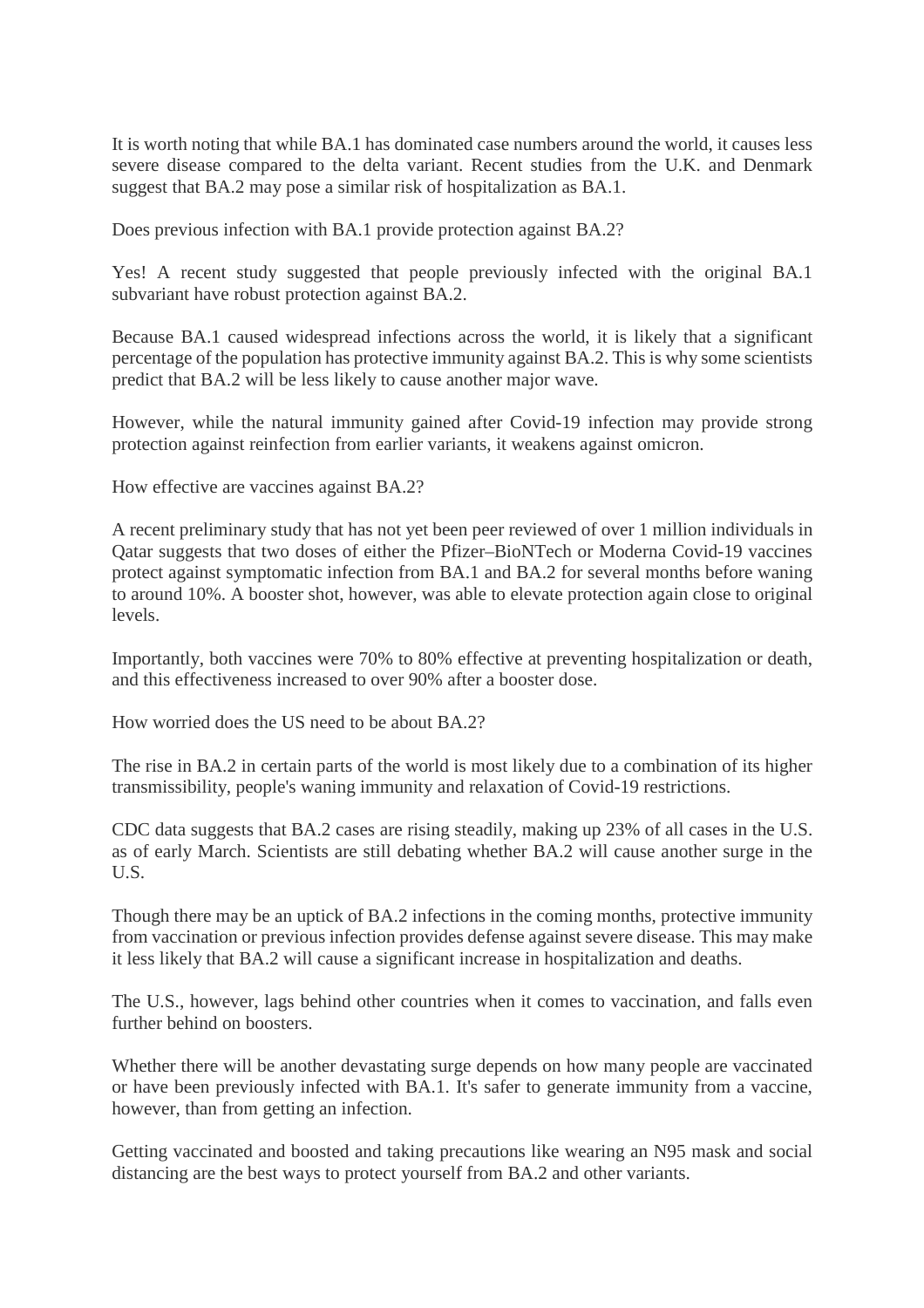It is worth noting that while BA.1 has dominated case numbers around the world, it causes less severe disease compared to the delta variant. Recent studies from the U.K. and Denmark suggest that BA.2 may pose a similar risk of hospitalization as BA.1.

Does previous infection with BA.1 provide protection against BA.2?

Yes! A recent study suggested that people previously infected with the original BA.1 subvariant have robust protection against BA.2.

Because BA.1 caused widespread infections across the world, it is likely that a significant percentage of the population has protective immunity against BA.2. This is why some scientists predict that BA.2 will be less likely to cause another major wave.

However, while the natural immunity gained after Covid-19 infection may provide strong protection against reinfection from earlier variants, it weakens against omicron.

How effective are vaccines against BA.2?

A recent preliminary study that has not yet been peer reviewed of over 1 million individuals in Qatar suggests that two doses of either the Pfizer–BioNTech or Moderna Covid-19 vaccines protect against symptomatic infection from BA.1 and BA.2 for several months before waning to around 10%. A booster shot, however, was able to elevate protection again close to original levels.

Importantly, both vaccines were 70% to 80% effective at preventing hospitalization or death, and this effectiveness increased to over 90% after a booster dose.

How worried does the US need to be about BA.2?

The rise in BA.2 in certain parts of the world is most likely due to a combination of its higher transmissibility, people's waning immunity and relaxation of Covid-19 restrictions.

CDC data suggests that BA.2 cases are rising steadily, making up 23% of all cases in the U.S. as of early March. Scientists are still debating whether BA.2 will cause another surge in the U.S.

Though there may be an uptick of BA.2 infections in the coming months, protective immunity from vaccination or previous infection provides defense against severe disease. This may make it less likely that BA.2 will cause a significant increase in hospitalization and deaths.

The U.S., however, lags behind other countries when it comes to vaccination, and falls even further behind on boosters.

Whether there will be another devastating surge depends on how many people are vaccinated or have been previously infected with BA.1. It's safer to generate immunity from a vaccine, however, than from getting an infection.

Getting vaccinated and boosted and taking precautions like wearing an N95 mask and social distancing are the best ways to protect yourself from BA.2 and other variants.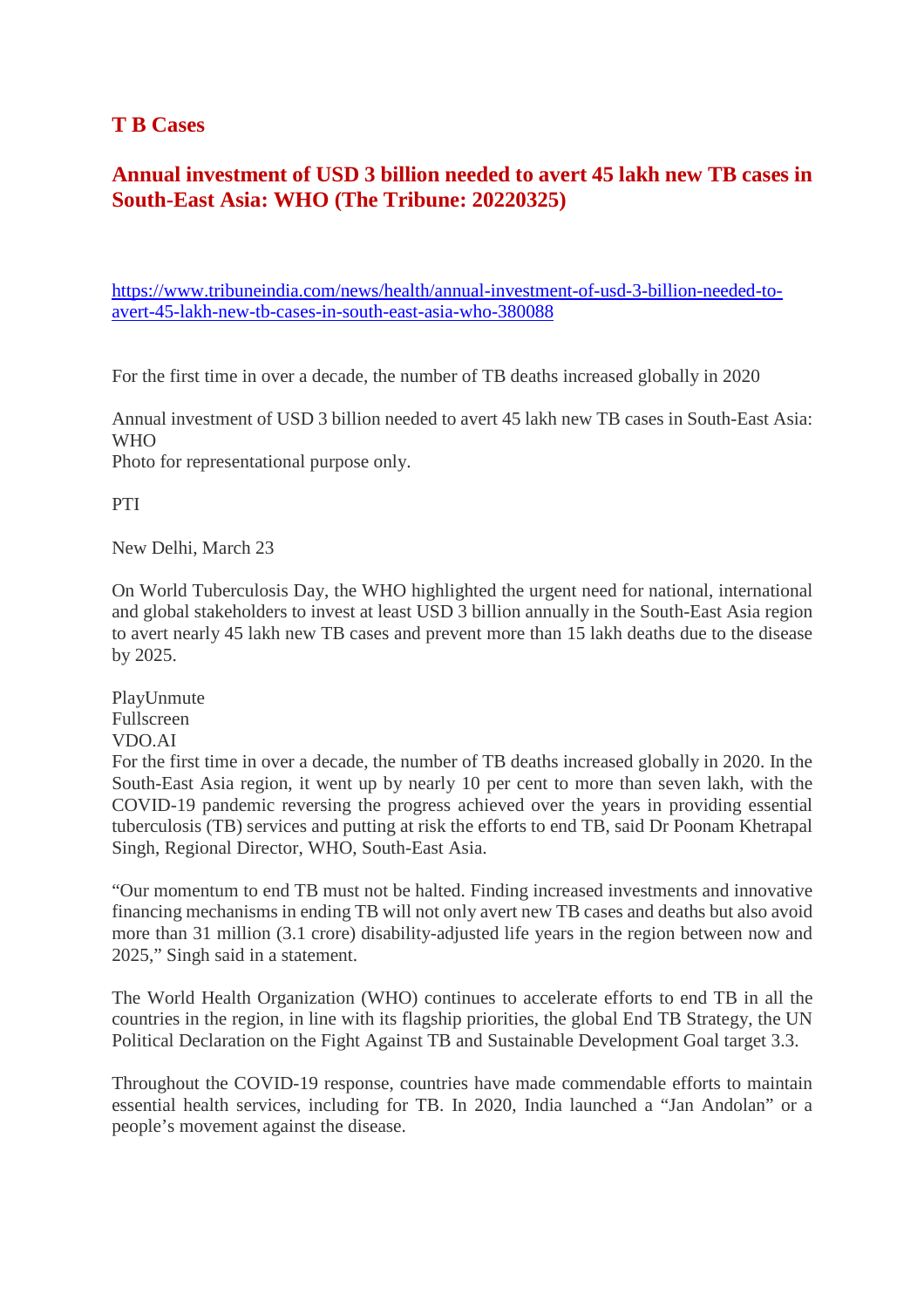#### **T B Cases**

#### **Annual investment of USD 3 billion needed to avert 45 lakh new TB cases in South-East Asia: WHO (The Tribune: 20220325)**

https://www.tribuneindia.com/news/health/annual-investment-of-usd-3-billion-needed-toavert-45-lakh-new-tb-cases-in-south-east-asia-who-380088

For the first time in over a decade, the number of TB deaths increased globally in 2020

Annual investment of USD 3 billion needed to avert 45 lakh new TB cases in South-East Asia: **WHO** 

Photo for representational purpose only.

PTI

New Delhi, March 23

On World Tuberculosis Day, the WHO highlighted the urgent need for national, international and global stakeholders to invest at least USD 3 billion annually in the South-East Asia region to avert nearly 45 lakh new TB cases and prevent more than 15 lakh deaths due to the disease by 2025.

PlayUnmute Fullscreen VDO.AI

For the first time in over a decade, the number of TB deaths increased globally in 2020. In the South-East Asia region, it went up by nearly 10 per cent to more than seven lakh, with the COVID-19 pandemic reversing the progress achieved over the years in providing essential tuberculosis (TB) services and putting at risk the efforts to end TB, said Dr Poonam Khetrapal Singh, Regional Director, WHO, South-East Asia.

"Our momentum to end TB must not be halted. Finding increased investments and innovative financing mechanisms in ending TB will not only avert new TB cases and deaths but also avoid more than 31 million (3.1 crore) disability-adjusted life years in the region between now and 2025," Singh said in a statement.

The World Health Organization (WHO) continues to accelerate efforts to end TB in all the countries in the region, in line with its flagship priorities, the global End TB Strategy, the UN Political Declaration on the Fight Against TB and Sustainable Development Goal target 3.3.

Throughout the COVID-19 response, countries have made commendable efforts to maintain essential health services, including for TB. In 2020, India launched a "Jan Andolan" or a people's movement against the disease.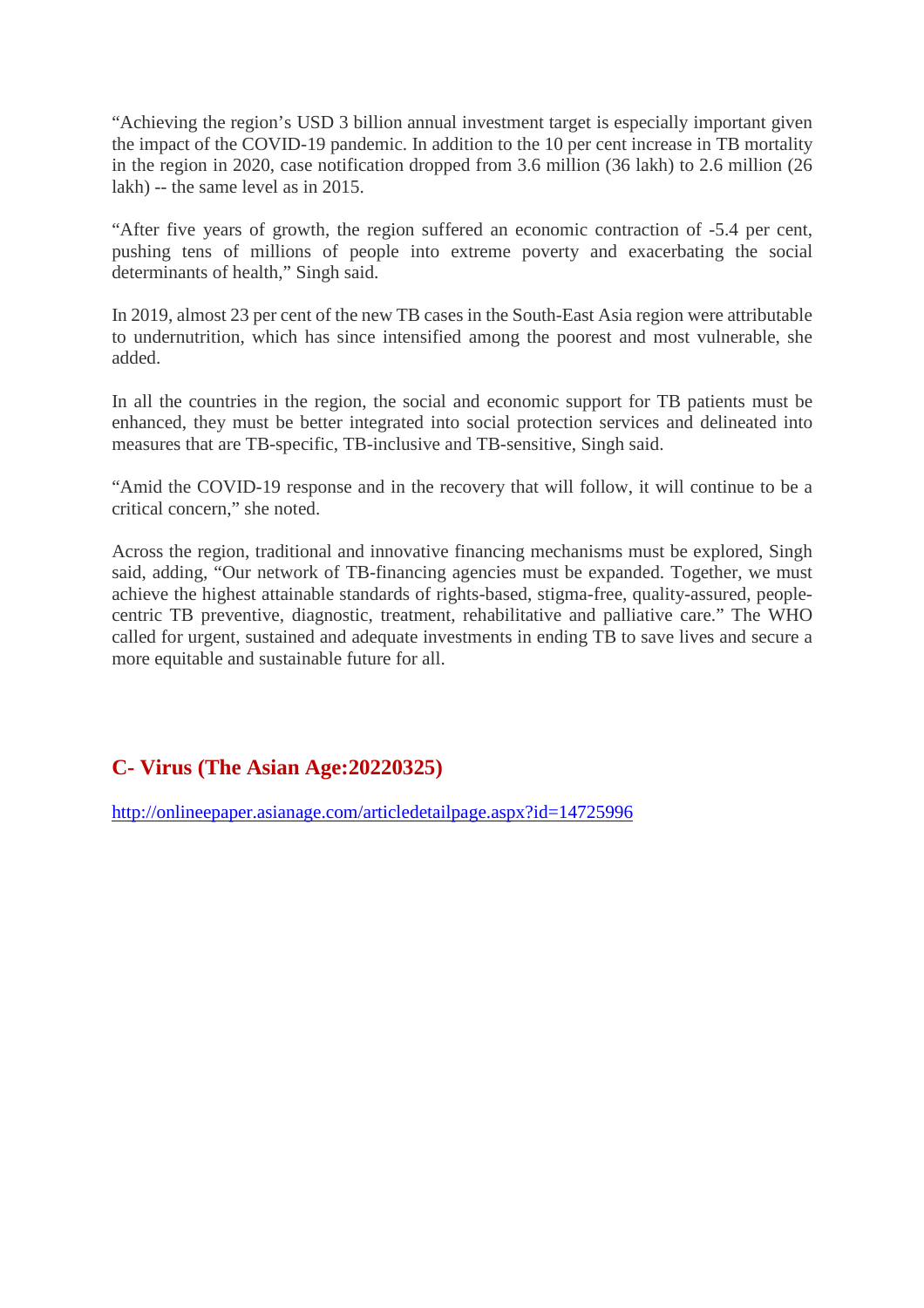"Achieving the region's USD 3 billion annual investment target is especially important given the impact of the COVID-19 pandemic. In addition to the 10 per cent increase in TB mortality in the region in 2020, case notification dropped from 3.6 million (36 lakh) to 2.6 million (26 lakh) -- the same level as in 2015.

"After five years of growth, the region suffered an economic contraction of -5.4 per cent, pushing tens of millions of people into extreme poverty and exacerbating the social determinants of health," Singh said.

In 2019, almost 23 per cent of the new TB cases in the South-East Asia region were attributable to undernutrition, which has since intensified among the poorest and most vulnerable, she added.

In all the countries in the region, the social and economic support for TB patients must be enhanced, they must be better integrated into social protection services and delineated into measures that are TB-specific, TB-inclusive and TB-sensitive, Singh said.

"Amid the COVID-19 response and in the recovery that will follow, it will continue to be a critical concern," she noted.

Across the region, traditional and innovative financing mechanisms must be explored, Singh said, adding, "Our network of TB-financing agencies must be expanded. Together, we must achieve the highest attainable standards of rights-based, stigma-free, quality-assured, peoplecentric TB preventive, diagnostic, treatment, rehabilitative and palliative care." The WHO called for urgent, sustained and adequate investments in ending TB to save lives and secure a more equitable and sustainable future for all.

#### **C- Virus (The Asian Age:20220325)**

http://onlineepaper.asianage.com/articledetailpage.aspx?id=14725996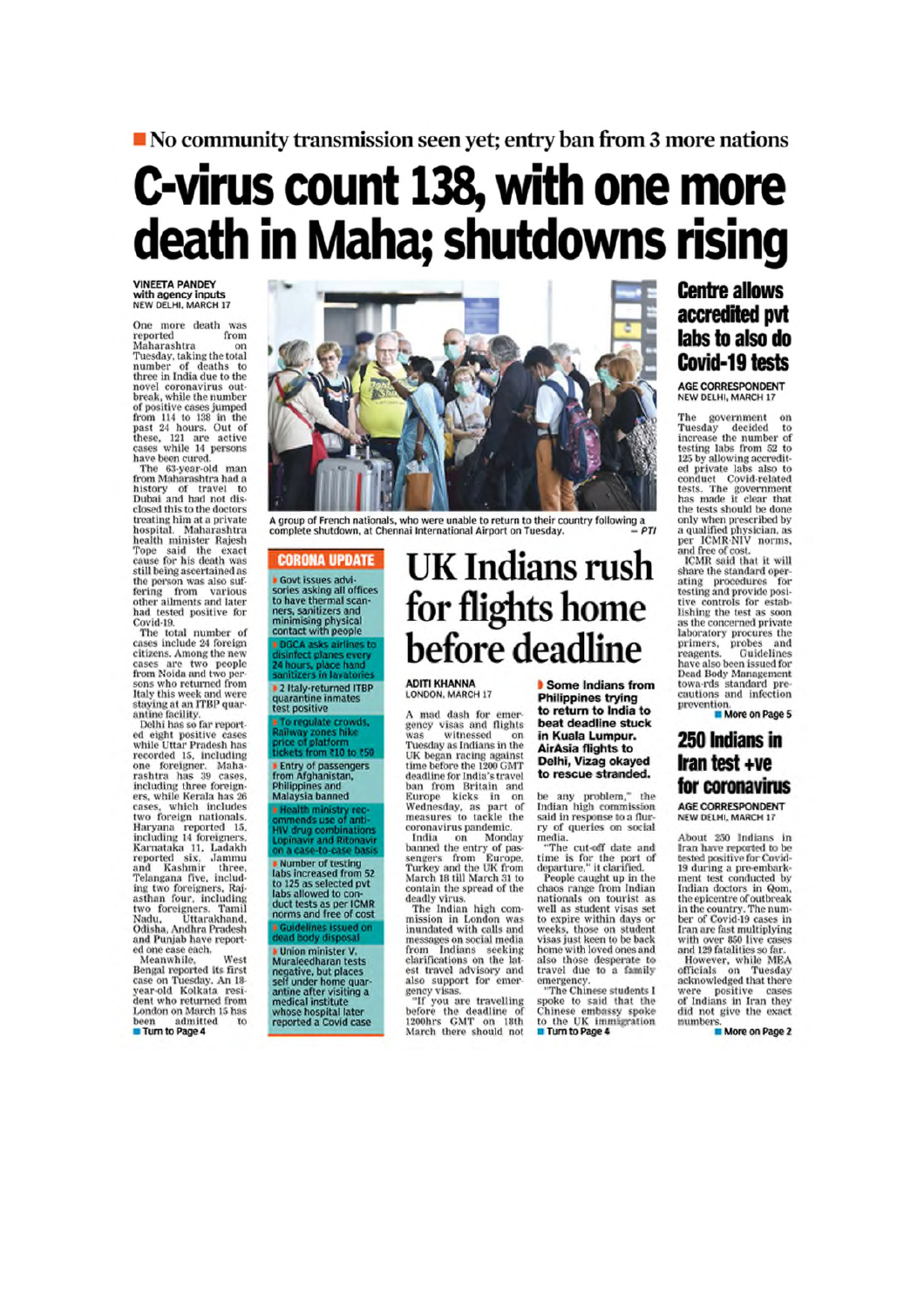## No community transmission seen yet; entry ban from 3 more nations C-virus count 138, with one more

# death in Maha; shutdowns rising

**VINEETA PANDEY**<br>with agency inputs<br>NEW DELHI, MARCH 17

One more death was reported<br>Maharashtra from on manarashtra<br>Tuesday, taking the total<br>number of deaths to<br>three in India due to the novel coronavirus out-<br>break, while the number of positive cases jumped of positive cases jumped<br>from 114 to 138 in the<br>past 24 hours. Out of<br>these, 121 are active<br>cases while 14 persons<br>have been cured.

The 63-year-old man<br>from Maharashtra had a<br>history of travel to<br>Dubai and had not disclosed this to the doctors<br>treating him at a private hospital, Maharashtra hospital. Manarashtra<br>health minister Rajesh<br>Tope said the exact<br>cause for his death was cause for his death was<br>still being ascertained as<br>the person was also suf-<br>fering from various<br>other ailments and later<br>had tested positive for Covid-19

The total number of<br>cases include 24 foreign cases include 24 foreign<br>citizens. Among the new<br>cases are two people<br>from Noida and two persons who returned from<br>Italy this week and were<br>staying at an ITBP quar-

antine facility.<br>Delhi has so far reported eight positive cases<br>while Uttar Pradesh has<br>recorded 15, including one foreigner. Maharashtra has 39 cases,<br>including three foreigners, while Kerala has 26 cases, which includes<br>two foreign nationals. two toreign nationals.<br>Haryana reported 15,<br>including 14 foreigners,<br>reported 15,<br>corrected isx, Jammu<br>and Kashmir three,<br>Telangana five, including two foreigners, Rajasthan four, including<br>two foreigners. Tamil<br>Nadu, Uttarakhand, Nadu, Uttaraknand,<br>Odisha, Andhra Pradesh<br>and Punjab have report

and rung an exerced.<br>
ed one case each.<br>
Meanwhile, West<br>
Bengal reported its first<br>
case on Tuesday. An 18-<br>
year old Kolkata resi-<br>
dent who returned from London on March 15 has<br>been admitted to<br>**Turn to Page 4** 



A group of French nationals, who were unable to return to their country following a<br>PTI complete shutdown, at Chennai International Airport on Tuesday

#### **CORONA UPDATE**

**Govt issues advised**<br>sories asking all offices to have thermal scanners, sanitizers and<br>minimising physical<br>contact with people DGCA asks airlines t<br>disinfect planes every

2 Italy-returned ITBP<br>quarantine inmates<br>test positive

regulate crowds,<br>way zones hike<br>e of platform<br>ets from ₹10 to ₹50 To regulate o **Entry of passengers**<br>from Afghanistan,<br>Philippines and<br>Malaysia banned

**Health ministry rec-**<br>pmmends use of anti-<br>HV drug combinations<br>.opinavir and Ritonavi **Number of testing<br>labs increased from 52**<br>to 125 as selected pvt<br>labs allowed to con-<br>duct tests as per ICMR<br>norms and free of cost

**dead Doly disposal**<br> **Munion minister V.**<br>
Munaleedharan tests<br>
negative, but places<br>
self under home quar-<br>
antine after visiting a<br>
medical institute<br>
whose hospital later<br>
reported a Covid case

### UK Indians rush for flights home before deadline

ADITI KHANNA LONDON, MARCH 17

A mad dash for emer-<br>gency visas and flights<br>was witnessed on was witnessed on<br>Tuesday as Indians in the<br>UK began racing against<br>time before the 1200 GMT time before the 1200 GMT<br>deadline for India's travel<br>ban from Britain and<br>Europe kicks in on<br>Wednesday, as part of<br>measures to tackle the measures to tacke the<br>coronavirus pandemic.<br>India on Monday<br>banned the entry of pas-<br>sengers from Europe,<br>Turkey and the UK from<br>March 18 till March 31 to contain the spread of the<br>deadly virus.<br>The Indian high com-

mission in London was<br>inundated with calls and mensages on social media<br>messages on social media<br>clarifications on the lat-<br>est travel advisory and<br>also support for emergency<br>messages with the sum of the sum of the same straining

ency visas.<br>"If you are travelling<br>before the deadline of<br>1200hrs GMT on 18th<br>March there should not

Some Indians from **Philippines trying** to return to India to beat deadline stuck in Kuala Lumpur. **AirAsia flights to** Delhi, Vizag okayed to rescue stranded.

be any problem," the<br>Indian high commission<br>said in response to a flurry of queries on social media.

"The cut-off date and time is for the port of<br>departure," it clarified.<br>People caught up in the chaos range from Indian<br>nationals on tourist as<br>well as student visas set to expire within days or<br>weeks, those on student<br>visas just keen to be back home with loved ones and<br>also those desperate to<br>travel due to a family

travel due to a tamily<br>energency.<br>"The Chinese students I<br>spoke to said that the<br>chinese embassy spoke<br>to the UK immigration<br>Turn to Page 4

#### **Centre allows** accredited pvt labs to also do **Covid-19 tests**

AGE CORRESPONDENT NEW DELHI, MARCH 17

The government on<br>Tuesday decided to<br>increase the number of<br>testing labs from 52 to<br>125 by allowing accredit-<br>ed private labs also to<br>conduct Covid-related<br>has made it clear that<br>the tests should be done<br>only when prescrib

only when prescribed by<br>a qualified physician, as<br>per ICMR-NIV norms,<br>ICMR said that it will<br>share the standard oper-<br>sing procedures for<br>titing and provide position<br>tive controls for establishing the test as soon<br>as the c nsing the test as soon<br>as the concerned private<br>laboratory procures the<br>primers, probes and<br>reagents. Guidelines<br>have also been issued for<br>Dead Body Management towa-rds standard pre-<br>cautions and infection prevention.<br>More on Page 5

#### 250 Indians in Iran test +ve for coronavirus

AGE CORRESPONDENT NEW DELHI, MARCH 17

About 250 Indians Iran have reported to be<br>tested positive for Covid-<br>19 during a pre-embark-<br>ment test conducted by ment test conducted by<br>Indian doctors in Qom,<br>the epicentre of outbreak<br>ber of Covid-19 cases in<br>Iran are fast multiplying<br>with over 850 live cases

with over 850 live cases<br>and 129 fatalities so far.<br>However, while MEA<br>officials on Tuesday<br>acknowledged that there<br>were positive cases<br>of Indians in Iran they<br>did not give the exact<br>mumbers.<br>**E** More on Page 2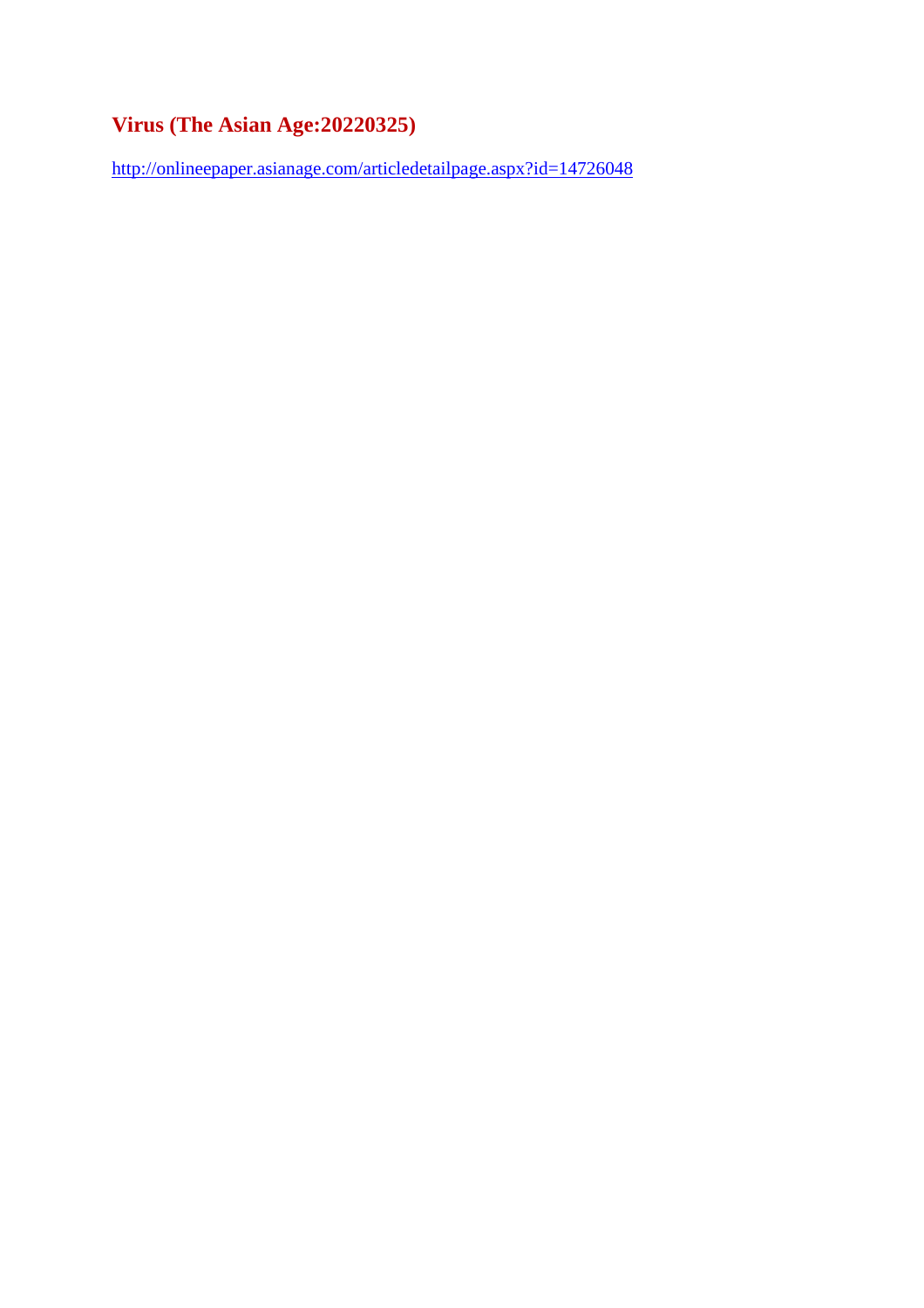#### **Virus (The Asian Age:20220325)**

http://onlineepaper.asianage.com/articledetailpage.aspx?id=14726048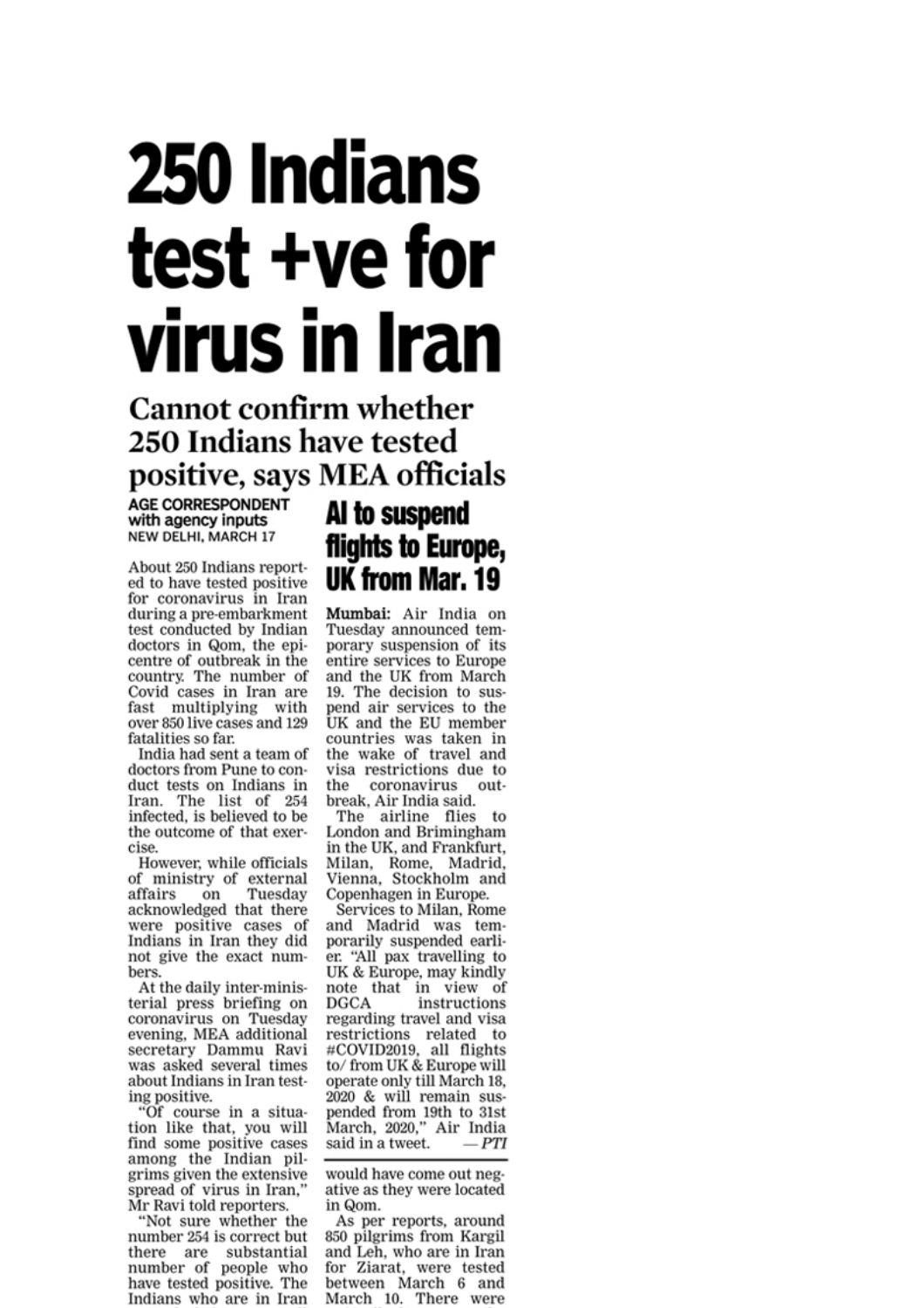# 250 Indians test +ve for virus in Iran

#### **Cannot confirm whether** 250 Indians have tested positive, says MEA officials

**AGE CORRESPONDENT** with agency inputs **NEW DELHI, MARCH 17** 

About 250 Indians reported to have tested positive for coronavirus in Iran during a pre-embarkment test conducted by Indian doctors in Qom, the epicentre of outbreak in the country. The number of Covid cases in Iran are fast multiplying with over 850 live cases and 129 fatalities so far.

India had sent a team of doctors from Pune to conduct tests on Indians in Iran. The list of 254 infected, is believed to be the outcome of that exercise

However, while officials of ministry of external affairs Tuesday on acknowledged that there were positive cases of Indians in Iran they did not give the exact numbers.

At the daily inter-ministerial press briefing on coronavirus on Tuesday evening, MEA additional secretary Dammu Ravi was asked several times about Indians in Iran testing positive.

"Of course in a situation like that, you will find some positive cases among the Indian pil-<br>grims given the extensive spread of virus in Iran," Mr Ravi told reporters.

"Not sure whether the number 254 is correct but there are substantial number of people who have tested positive. The Indians who are in Iran

#### Al to suspend flights to Europe, UK from Mar. 19

Mumbai: Air India on Tuesday announced temporary suspension of its entire services to Europe and the UK from March 19. The decision to suspend air services to the UK and the EU member countries was taken in the wake of travel and visa restrictions due to the coronavirus outbreak, Air India said.

The airline flies to London and Brimingham in the UK, and Frankfurt, Milan, Rome, Madrid,<br>Vienna, Stockholm and Copenhagen in Europe.

Services to Milan, Rome and Madrid was temporarily suspended earlier. "All pax travelling to UK & Europe, may kindly note that in view of instructions **DGCA** regarding travel and visa restrictions related to #COVID2019, all flights to/from UK & Europe will operate only till March 18, 2020 & will remain suspended from 19th to 31st March, 2020," Air India said in a tweet.  $-PTI$ 

would have come out negative as they were located in Qom.

As per reports, around 850 pilgrims from Kargil and Leh. who are in Iran for Ziarat, were tested between March 6 and March 10. There were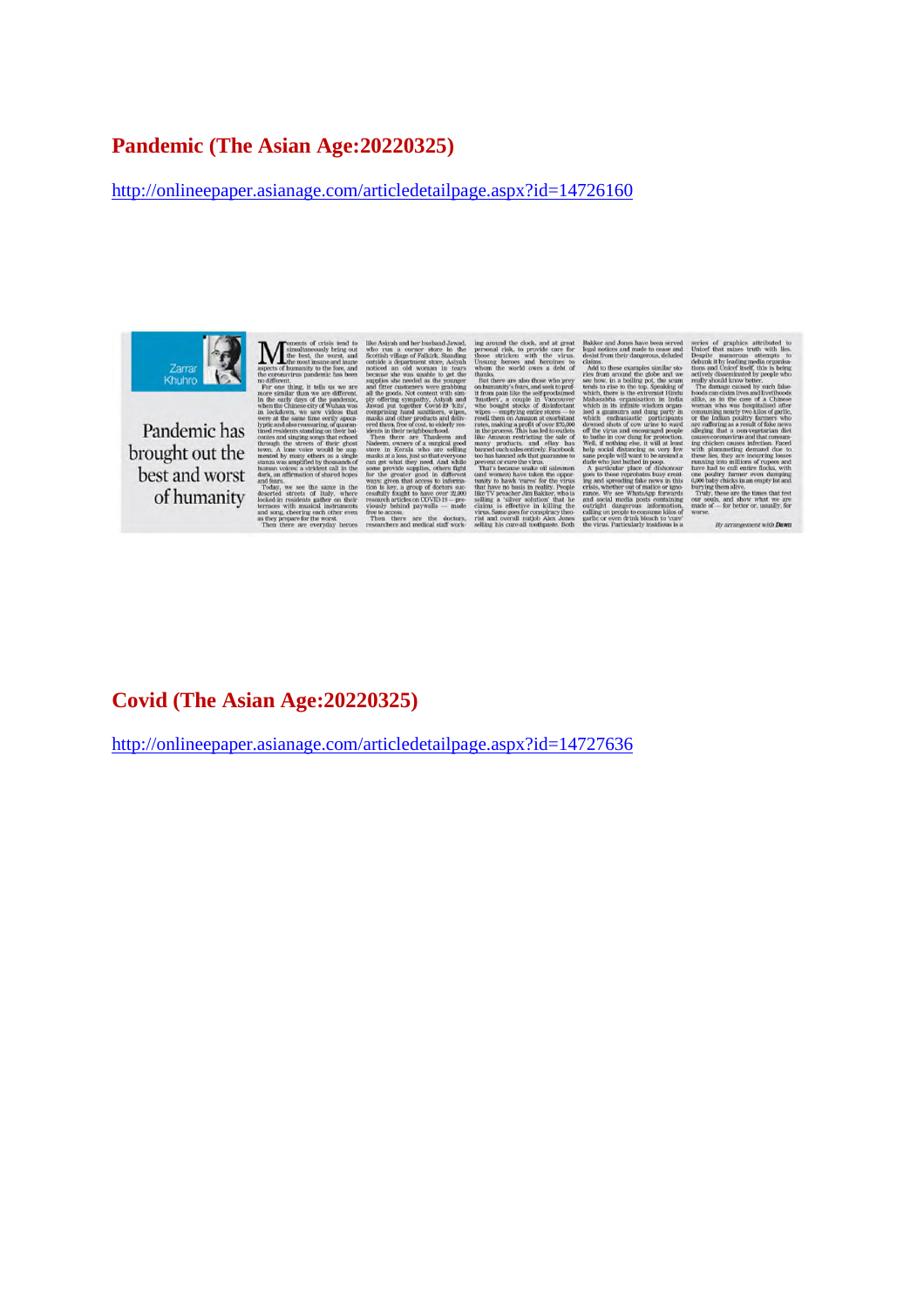#### **Pandemic (The Asian Age:20220325)**

http://onlineepaper.asianage.com/articledetailpage.aspx?id=14726160



Pandemic has brought out the best and worst of humanity

#### **Covid (The Asian Age:20220325)**

http://onlineepaper.asianage.com/articledetailpage.aspx?id=14727636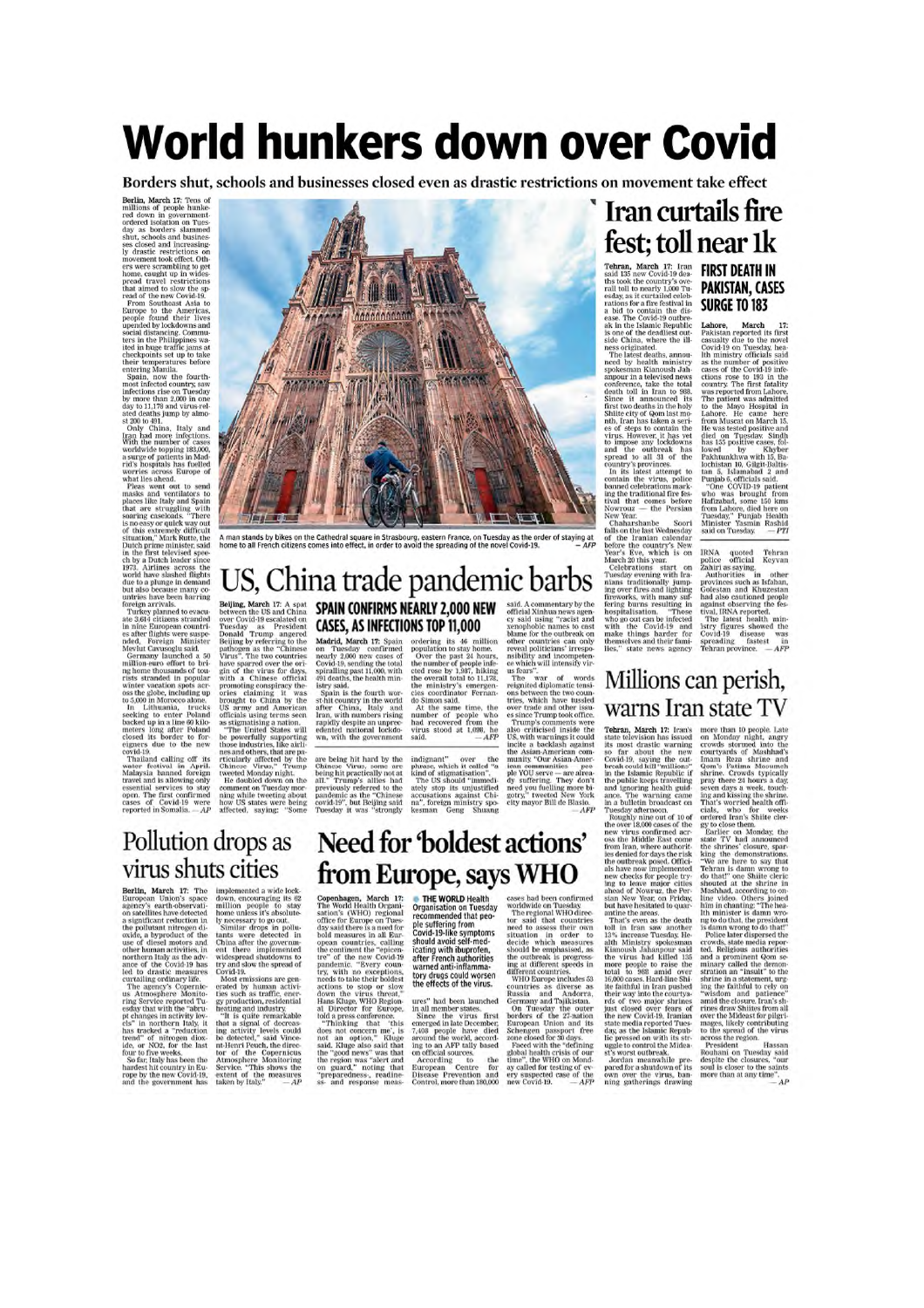# **World hunkers down over Covid**

Borders shut, schools and businesses closed even as drastic restrictions on movement take effect

Berlin, March 17: Tens of millions of people hunkees<br>red down in government-<br>red down in government-<br>ored down in government-<br>day as borders slammed since a slame as solutions as solutions of<br>the second and the constrained by the scaling movement

ate 3,614 citizens stranded<br>in Since Bardel in Since Bardel, the Since Hights were suspended. Polygin Minister<br>Herd, Polygin Minister Granded, Polygin Minister<br>Germany launched at 30<br>mights described in the present of the

cipaers due to the new<br>eigners due to the new<br>cylid-19.<br>Thailand calling off its<br>vater festival in April.<br>Thailand foreign<br>Malaysia banned foreign<br>respective and is allowing only open.<br>The first confirmed<br>cases of Covid-19



A man stands by bikes on the Cathedral square in Strasbourg, eastern France, on Tuesday as the order of staying at<br>home to all French citizens comes into effect, in order to avoid the spreading of the novel Covid-19. - AFP

# US, China trade pandemic barbs **EXERCISE TO THE REAL PROPERTIES CONTINUE DEAL AND BEAT INTO Betting the securities are the control of the securities are the securities are the property of the securities of the securities of the securities of the securi**

#### Need for 'boldest actions' from Europe, says WHO

Copenhagen, March 17:<br>The World Health Organi-The World Health Organi-<br>sation's (WHO) regional<br>office for Europe on Tues-<br>day said there is a need for<br>bold measures in all Eur-<br>operator operator of the continue of the continue the continue<br>produce  $\frac{1}{100}$  randem o

needs to take their bottless topy drugs could worsen<br>methods to the effects of the virus.<br>There is no stow the effects of the virus.<br>Hans Kiuge, WHO Region ures" had been launched<br>all Director for Europe. In all member sta

THE WORLD Health<br>
Organisation on Tuesday<br>
recommended that peo-<br>
covid-19-like symptoms<br>
should avoid set-med<br>
icating with ibuprofen,<br>
after French authorities<br>
warned anti-inflamma-<br>
toy drugs could worsen<br>
the effects

**EVALUATE:**<br>
cases had been confirmed<br>
concluding on Tuesday<br>
The regional WiFO direction<br>
The sale that countries<br>
need to assess their own in order to<br>
decide which measures studied with the outline<br>
and different count

#### **Iran curtails fire** fest; toll near 1k

**Tehran, March 17:** Iran<br>said 135 new Covid-19 deals<br>this took the country's over<br>rall toll to nearly 1,000 True rall to the country 1,000 True<br>radiot estable and to constant rations for a fire festival in<br>a bit of consta

ness originated... The last<br>system and the first deaths, announced by bealth ministry apples<br>mann spokesman Kianoush Jah-spokesman Kianoush Jah-conference, take the total<br>death toll in tran to 988. Shirt woldshis in the h

#### **FIRST DEATH IN PAKISTAN, CASES SURGE TO 183**

**SUNGE IU IOS**<br>
Lahore, March 17:<br>
Lahore, March 17:<br>
Erakistan reported its first casually due to the novel<br>
casually due to the condition as the number of positive cases of the Covid-19 on Tuesday, he<br>
as the number of

IRNA quoted Tehran police official Keywan Authorities saying provinces such as Islanda, Geological Geological Constant of the Collection and Rabar, and as a computer of the Hard and as a street police of the state of the

#### Millions can perish, warns Iran state TV

**Tehran, March 17:** Iran's istate feloxision has issued for about the new spot and the method of the method of the method of the method of the public keeps rrowlling and more public keeps rrowlling and an a unlein the pub

more than 10 people. Late cross<br>of more than 10 people. Late or Mordav night, angry expecting the crowds solution<br>in the cross solution and the transmission of the transmission of<br> $\sim$  10 mechanism and the Cross of the st

 $AP$ 

#### Pollution drops as virus shuts cities

VIITUS SITUUS CIUCS<br>
Berlin, March 17: The implemented a wide lock<br>
European Union's space down, encouraging its 62<br>
agency's extrib observed in milion people to stay<br>
agency's extrib observed in milion people to stay<br>
on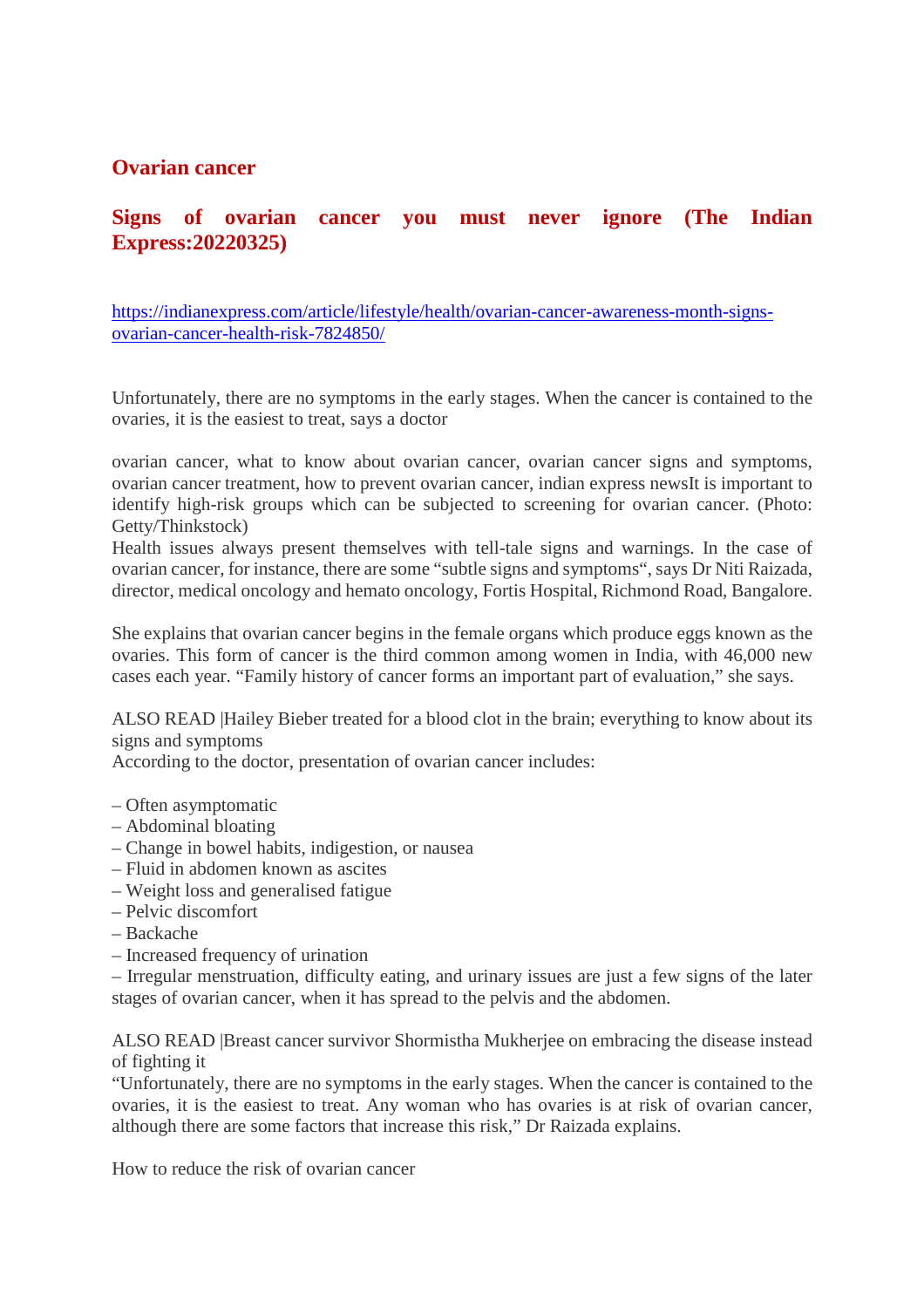#### **Ovarian cancer**

#### **Signs of ovarian cancer you must never ignore (The Indian Express:20220325)**

https://indianexpress.com/article/lifestyle/health/ovarian-cancer-awareness-month-signsovarian-cancer-health-risk-7824850/

Unfortunately, there are no symptoms in the early stages. When the cancer is contained to the ovaries, it is the easiest to treat, says a doctor

ovarian cancer, what to know about ovarian cancer, ovarian cancer signs and symptoms, ovarian cancer treatment, how to prevent ovarian cancer, indian express newsIt is important to identify high-risk groups which can be subjected to screening for ovarian cancer. (Photo: Getty/Thinkstock)

Health issues always present themselves with tell-tale signs and warnings. In the case of ovarian cancer, for instance, there are some "subtle signs and symptoms", says Dr Niti Raizada, director, medical oncology and hemato oncology, Fortis Hospital, Richmond Road, Bangalore.

She explains that ovarian cancer begins in the female organs which produce eggs known as the ovaries. This form of cancer is the third common among women in India, with 46,000 new cases each year. "Family history of cancer forms an important part of evaluation," she says.

ALSO READ |Hailey Bieber treated for a blood clot in the brain; everything to know about its signs and symptoms

According to the doctor, presentation of ovarian cancer includes:

- Often asymptomatic
- Abdominal bloating
- Change in bowel habits, indigestion, or nausea
- Fluid in abdomen known as ascites
- Weight loss and generalised fatigue
- Pelvic discomfort
- Backache
- Increased frequency of urination

– Irregular menstruation, difficulty eating, and urinary issues are just a few signs of the later stages of ovarian cancer, when it has spread to the pelvis and the abdomen.

ALSO READ |Breast cancer survivor Shormistha Mukherjee on embracing the disease instead of fighting it

"Unfortunately, there are no symptoms in the early stages. When the cancer is contained to the ovaries, it is the easiest to treat. Any woman who has ovaries is at risk of ovarian cancer, although there are some factors that increase this risk," Dr Raizada explains.

How to reduce the risk of ovarian cancer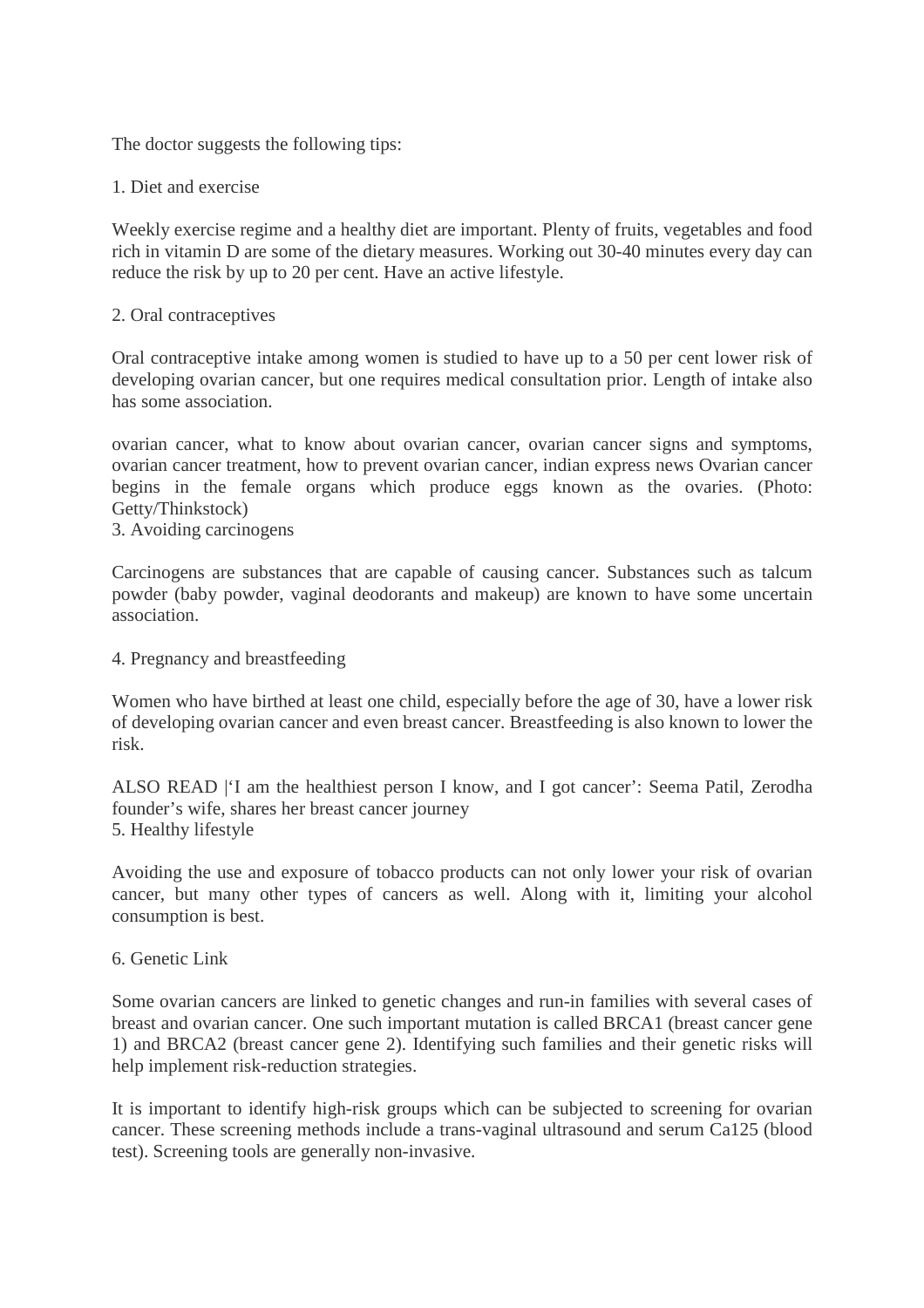The doctor suggests the following tips:

#### 1. Diet and exercise

Weekly exercise regime and a healthy diet are important. Plenty of fruits, vegetables and food rich in vitamin D are some of the dietary measures. Working out 30-40 minutes every day can reduce the risk by up to 20 per cent. Have an active lifestyle.

#### 2. Oral contraceptives

Oral contraceptive intake among women is studied to have up to a 50 per cent lower risk of developing ovarian cancer, but one requires medical consultation prior. Length of intake also has some association.

ovarian cancer, what to know about ovarian cancer, ovarian cancer signs and symptoms, ovarian cancer treatment, how to prevent ovarian cancer, indian express news Ovarian cancer begins in the female organs which produce eggs known as the ovaries. (Photo: Getty/Thinkstock)

3. Avoiding carcinogens

Carcinogens are substances that are capable of causing cancer. Substances such as talcum powder (baby powder, vaginal deodorants and makeup) are known to have some uncertain association.

4. Pregnancy and breastfeeding

Women who have birthed at least one child, especially before the age of 30, have a lower risk of developing ovarian cancer and even breast cancer. Breastfeeding is also known to lower the risk.

ALSO READ |'I am the healthiest person I know, and I got cancer': Seema Patil, Zerodha founder's wife, shares her breast cancer journey 5. Healthy lifestyle

Avoiding the use and exposure of tobacco products can not only lower your risk of ovarian cancer, but many other types of cancers as well. Along with it, limiting your alcohol consumption is best.

#### 6. Genetic Link

Some ovarian cancers are linked to genetic changes and run-in families with several cases of breast and ovarian cancer. One such important mutation is called BRCA1 (breast cancer gene 1) and BRCA2 (breast cancer gene 2). Identifying such families and their genetic risks will help implement risk-reduction strategies.

It is important to identify high-risk groups which can be subjected to screening for ovarian cancer. These screening methods include a trans-vaginal ultrasound and serum Ca125 (blood test). Screening tools are generally non-invasive.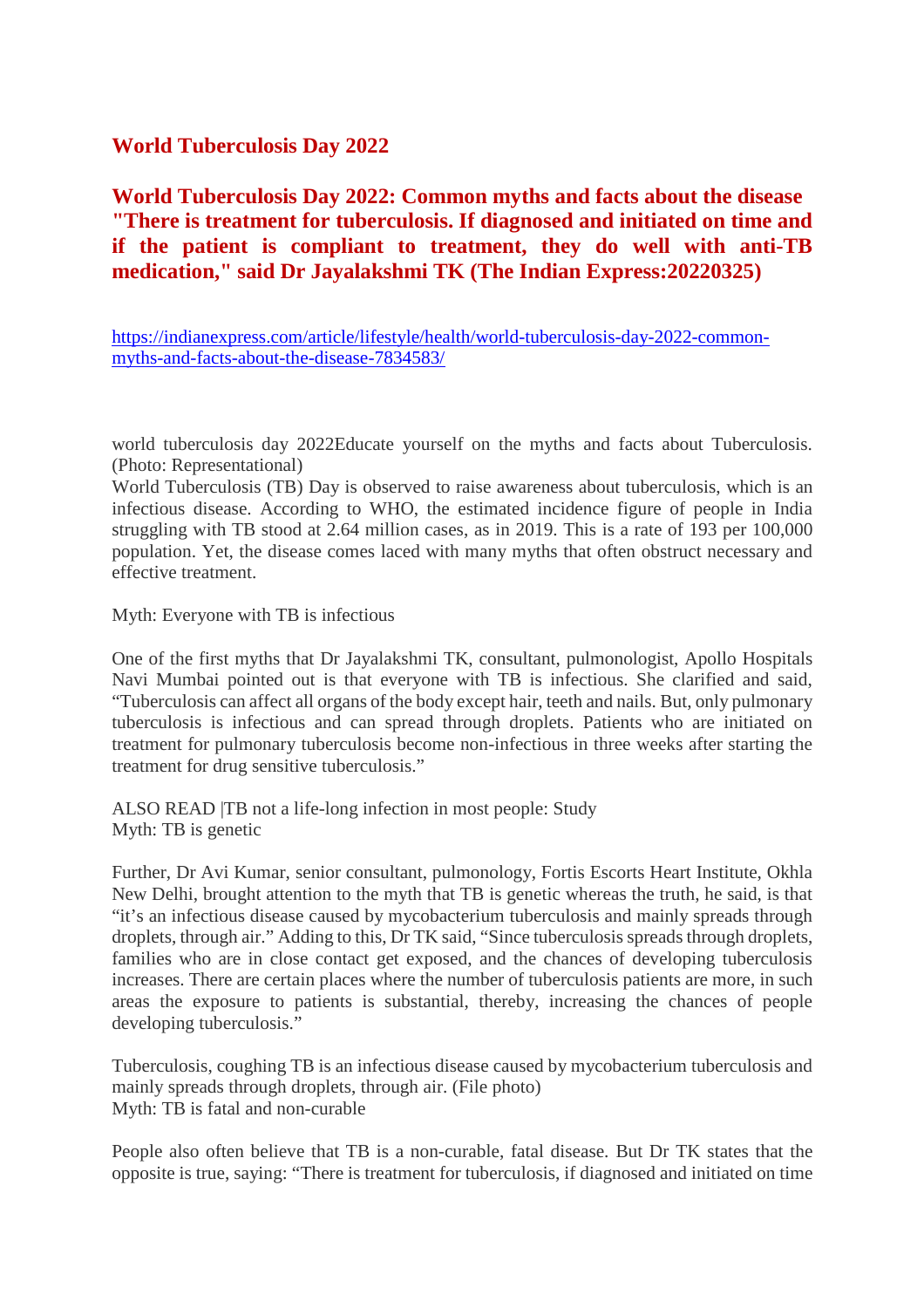#### **World Tuberculosis Day 2022**

**World Tuberculosis Day 2022: Common myths and facts about the disease "There is treatment for tuberculosis. If diagnosed and initiated on time and if the patient is compliant to treatment, they do well with anti-TB medication," said Dr Jayalakshmi TK (The Indian Express:20220325)**

https://indianexpress.com/article/lifestyle/health/world-tuberculosis-day-2022-commonmyths-and-facts-about-the-disease-7834583/

world tuberculosis day 2022Educate yourself on the myths and facts about Tuberculosis. (Photo: Representational)

World Tuberculosis (TB) Day is observed to raise awareness about tuberculosis, which is an infectious disease. According to WHO, the estimated incidence figure of people in India struggling with TB stood at 2.64 million cases, as in 2019. This is a rate of 193 per 100,000 population. Yet, the disease comes laced with many myths that often obstruct necessary and effective treatment.

Myth: Everyone with TB is infectious

One of the first myths that Dr Jayalakshmi TK, consultant, pulmonologist, Apollo Hospitals Navi Mumbai pointed out is that everyone with TB is infectious. She clarified and said, "Tuberculosis can affect all organs of the body except hair, teeth and nails. But, only pulmonary tuberculosis is infectious and can spread through droplets. Patients who are initiated on treatment for pulmonary tuberculosis become non-infectious in three weeks after starting the treatment for drug sensitive tuberculosis."

ALSO READ |TB not a life-long infection in most people: Study Myth: TB is genetic

Further, Dr Avi Kumar, senior consultant, pulmonology, Fortis Escorts Heart Institute, Okhla New Delhi, brought attention to the myth that TB is genetic whereas the truth, he said, is that "it's an infectious disease caused by mycobacterium tuberculosis and mainly spreads through droplets, through air." Adding to this, Dr TK said, "Since tuberculosis spreads through droplets, families who are in close contact get exposed, and the chances of developing tuberculosis increases. There are certain places where the number of tuberculosis patients are more, in such areas the exposure to patients is substantial, thereby, increasing the chances of people developing tuberculosis."

Tuberculosis, coughing TB is an infectious disease caused by mycobacterium tuberculosis and mainly spreads through droplets, through air. (File photo) Myth: TB is fatal and non-curable

People also often believe that TB is a non-curable, fatal disease. But Dr TK states that the opposite is true, saying: "There is treatment for tuberculosis, if diagnosed and initiated on time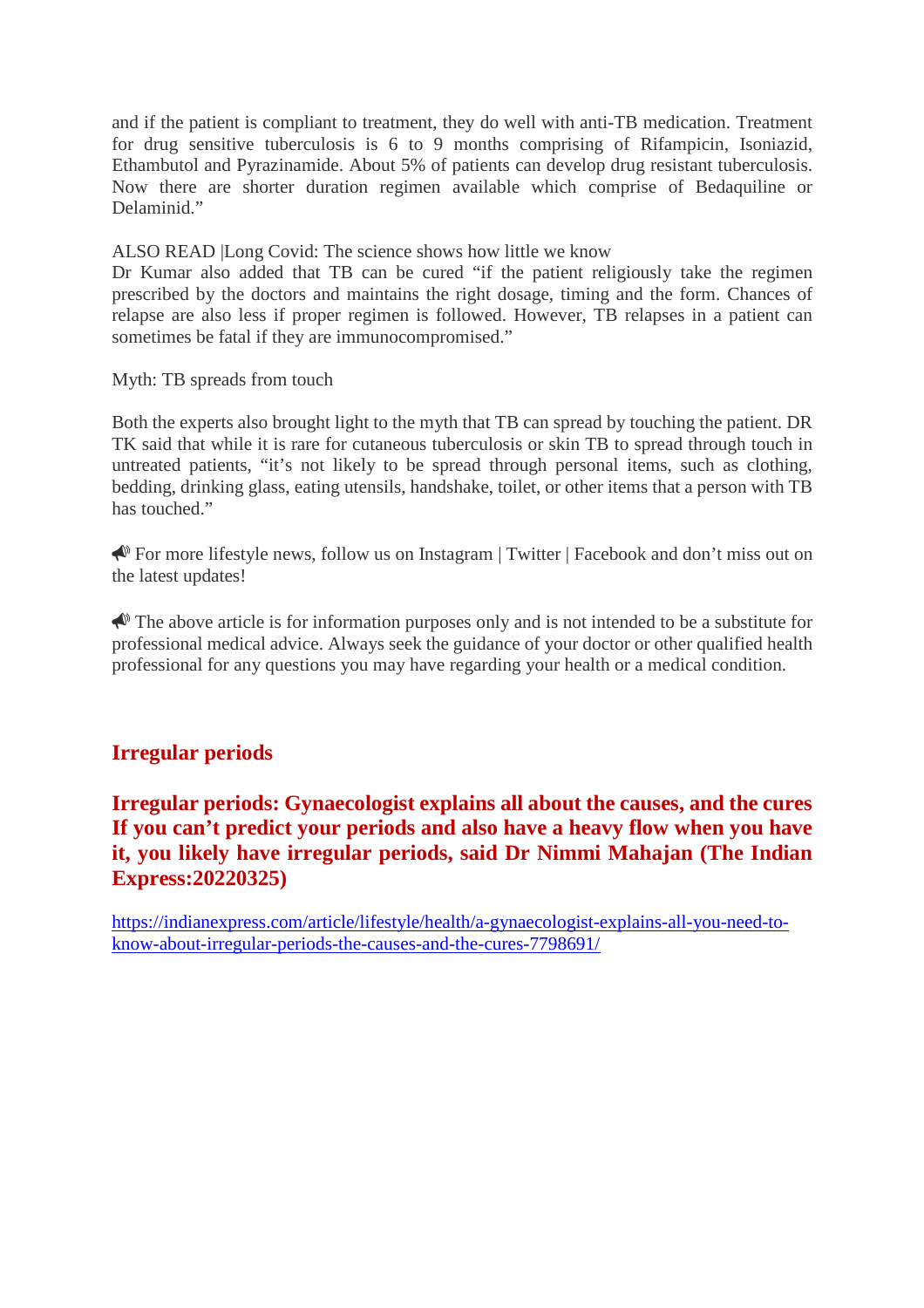and if the patient is compliant to treatment, they do well with anti-TB medication. Treatment for drug sensitive tuberculosis is 6 to 9 months comprising of Rifampicin, Isoniazid, Ethambutol and Pyrazinamide. About 5% of patients can develop drug resistant tuberculosis. Now there are shorter duration regimen available which comprise of Bedaquiline or Delaminid."

ALSO READ |Long Covid: The science shows how little we know

Dr Kumar also added that TB can be cured "if the patient religiously take the regimen prescribed by the doctors and maintains the right dosage, timing and the form. Chances of relapse are also less if proper regimen is followed. However, TB relapses in a patient can sometimes be fatal if they are immunocompromised."

Myth: TB spreads from touch

Both the experts also brought light to the myth that TB can spread by touching the patient. DR TK said that while it is rare for cutaneous tuberculosis or skin TB to spread through touch in untreated patients, "it's not likely to be spread through personal items, such as clothing, bedding, drinking glass, eating utensils, handshake, toilet, or other items that a person with TB has touched."

For more lifestyle news, follow us on Instagram | Twitter | Facebook and don't miss out on the latest updates!

 $\triangle$  The above article is for information purposes only and is not intended to be a substitute for professional medical advice. Always seek the guidance of your doctor or other qualified health professional for any questions you may have regarding your health or a medical condition.

#### **Irregular periods**

#### **Irregular periods: Gynaecologist explains all about the causes, and the cures If you can't predict your periods and also have a heavy flow when you have it, you likely have irregular periods, said Dr Nimmi Mahajan (The Indian Express:20220325)**

https://indianexpress.com/article/lifestyle/health/a-gynaecologist-explains-all-you-need-toknow-about-irregular-periods-the-causes-and-the-cures-7798691/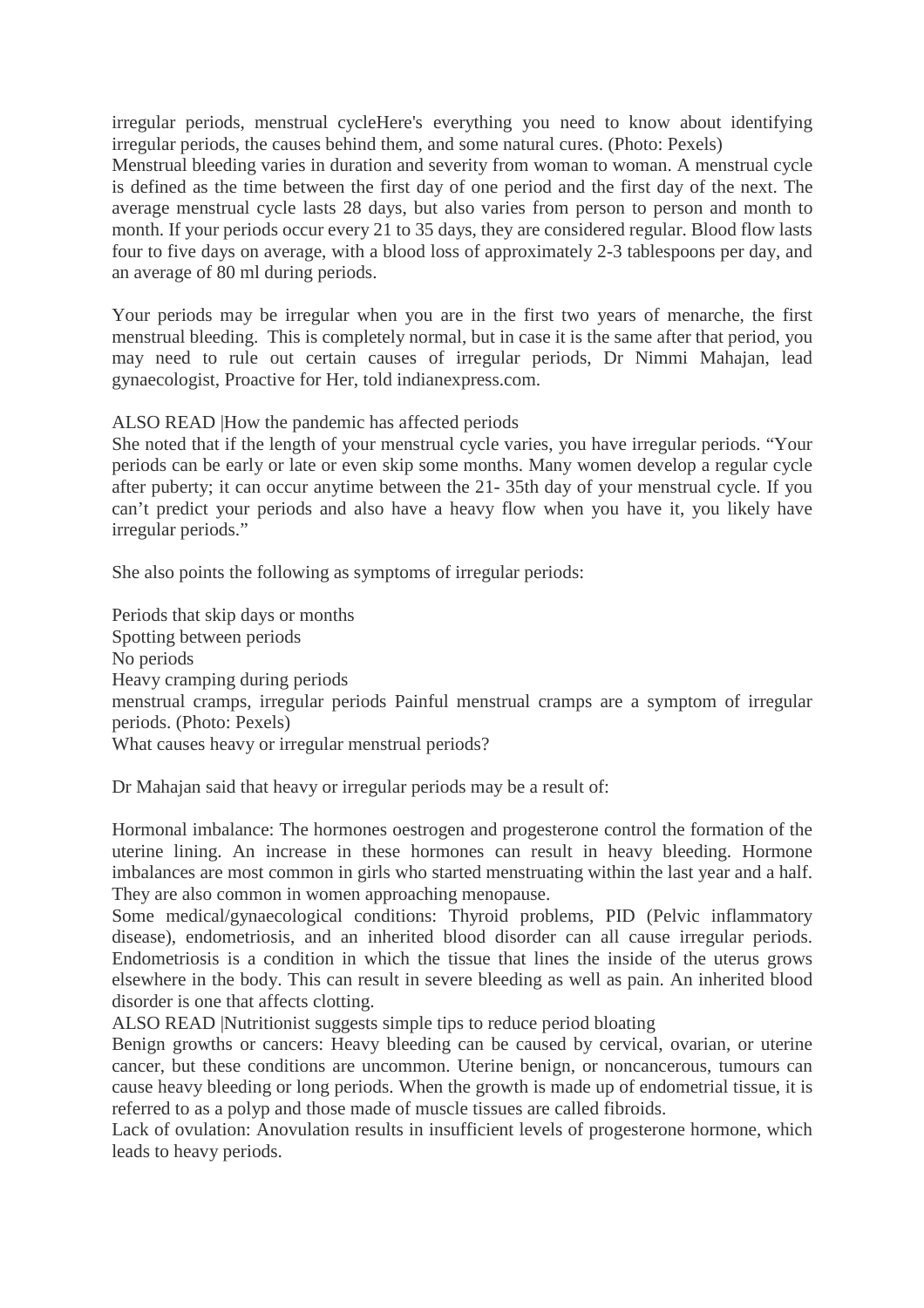irregular periods, menstrual cycleHere's everything you need to know about identifying irregular periods, the causes behind them, and some natural cures. (Photo: Pexels) Menstrual bleeding varies in duration and severity from woman to woman. A menstrual cycle is defined as the time between the first day of one period and the first day of the next. The average menstrual cycle lasts 28 days, but also varies from person to person and month to month. If your periods occur every 21 to 35 days, they are considered regular. Blood flow lasts four to five days on average, with a blood loss of approximately 2-3 tablespoons per day, and an average of 80 ml during periods.

Your periods may be irregular when you are in the first two years of menarche, the first menstrual bleeding. This is completely normal, but in case it is the same after that period, you may need to rule out certain causes of irregular periods, Dr Nimmi Mahajan, lead gynaecologist, Proactive for Her, told indianexpress.com.

ALSO READ |How the pandemic has affected periods

She noted that if the length of your menstrual cycle varies, you have irregular periods. "Your periods can be early or late or even skip some months. Many women develop a regular cycle after puberty; it can occur anytime between the 21- 35th day of your menstrual cycle. If you can't predict your periods and also have a heavy flow when you have it, you likely have irregular periods."

She also points the following as symptoms of irregular periods:

Periods that skip days or months Spotting between periods No periods Heavy cramping during periods menstrual cramps, irregular periods Painful menstrual cramps are a symptom of irregular periods. (Photo: Pexels) What causes heavy or irregular menstrual periods?

Dr Mahajan said that heavy or irregular periods may be a result of:

Hormonal imbalance: The hormones oestrogen and progesterone control the formation of the uterine lining. An increase in these hormones can result in heavy bleeding. Hormone imbalances are most common in girls who started menstruating within the last year and a half. They are also common in women approaching menopause.

Some medical/gynaecological conditions: Thyroid problems, PID (Pelvic inflammatory disease), endometriosis, and an inherited blood disorder can all cause irregular periods. Endometriosis is a condition in which the tissue that lines the inside of the uterus grows elsewhere in the body. This can result in severe bleeding as well as pain. An inherited blood disorder is one that affects clotting.

ALSO READ |Nutritionist suggests simple tips to reduce period bloating

Benign growths or cancers: Heavy bleeding can be caused by cervical, ovarian, or uterine cancer, but these conditions are uncommon. Uterine benign, or noncancerous, tumours can cause heavy bleeding or long periods. When the growth is made up of endometrial tissue, it is referred to as a polyp and those made of muscle tissues are called fibroids.

Lack of ovulation: Anovulation results in insufficient levels of progesterone hormone, which leads to heavy periods.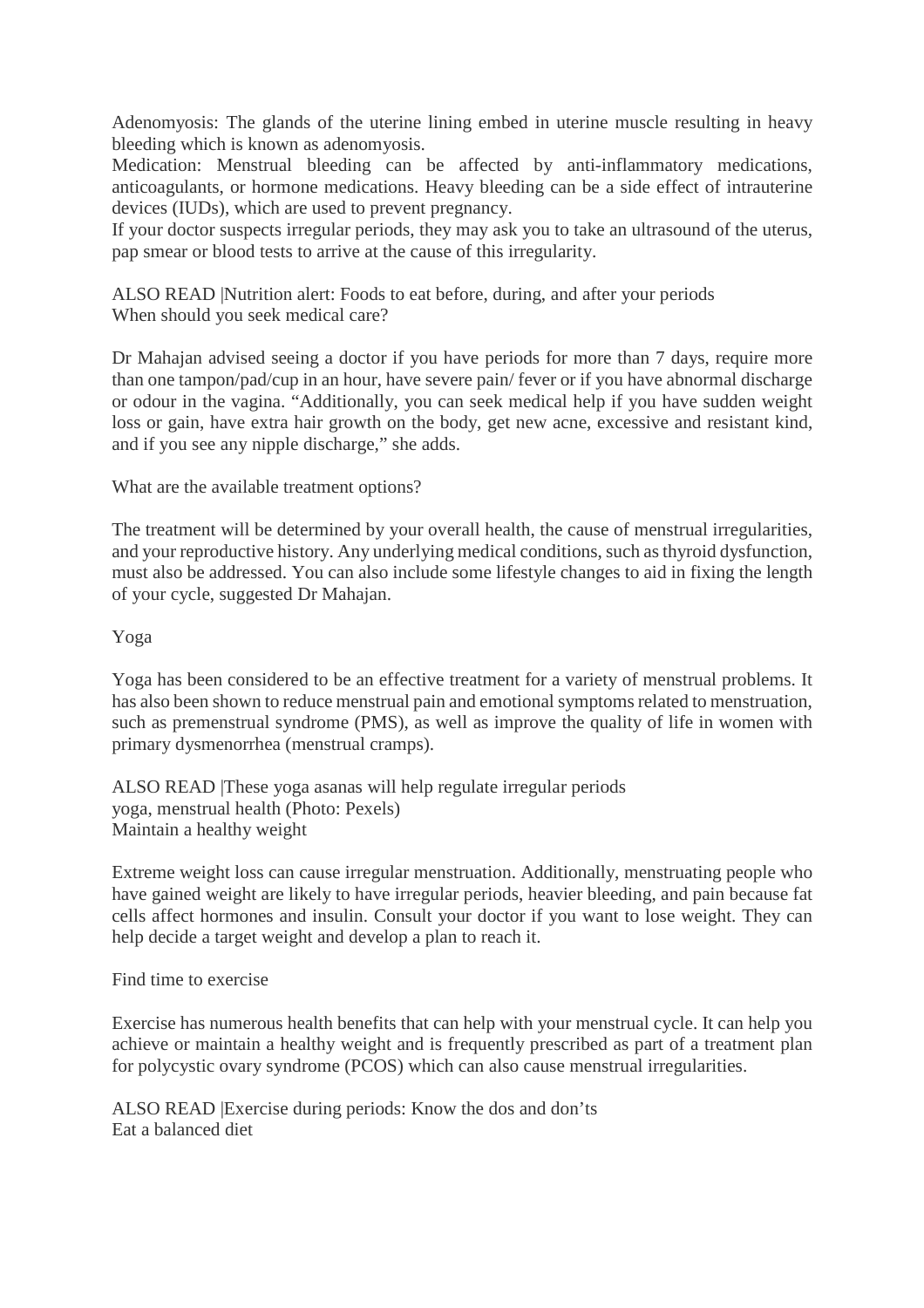Adenomyosis: The glands of the uterine lining embed in uterine muscle resulting in heavy bleeding which is known as adenomyosis.

Medication: Menstrual bleeding can be affected by anti-inflammatory medications, anticoagulants, or hormone medications. Heavy bleeding can be a side effect of intrauterine devices (IUDs), which are used to prevent pregnancy.

If your doctor suspects irregular periods, they may ask you to take an ultrasound of the uterus, pap smear or blood tests to arrive at the cause of this irregularity.

ALSO READ |Nutrition alert: Foods to eat before, during, and after your periods When should you seek medical care?

Dr Mahajan advised seeing a doctor if you have periods for more than 7 days, require more than one tampon/pad/cup in an hour, have severe pain/ fever or if you have abnormal discharge or odour in the vagina. "Additionally, you can seek medical help if you have sudden weight loss or gain, have extra hair growth on the body, get new acne, excessive and resistant kind, and if you see any nipple discharge," she adds.

What are the available treatment options?

The treatment will be determined by your overall health, the cause of menstrual irregularities, and your reproductive history. Any underlying medical conditions, such as thyroid dysfunction, must also be addressed. You can also include some lifestyle changes to aid in fixing the length of your cycle, suggested Dr Mahajan.

#### Yoga

Yoga has been considered to be an effective treatment for a variety of menstrual problems. It has also been shown to reduce menstrual pain and emotional symptoms related to menstruation, such as premenstrual syndrome (PMS), as well as improve the quality of life in women with primary dysmenorrhea (menstrual cramps).

ALSO READ |These yoga asanas will help regulate irregular periods yoga, menstrual health (Photo: Pexels) Maintain a healthy weight

Extreme weight loss can cause irregular menstruation. Additionally, menstruating people who have gained weight are likely to have irregular periods, heavier bleeding, and pain because fat cells affect hormones and insulin. Consult your doctor if you want to lose weight. They can help decide a target weight and develop a plan to reach it.

#### Find time to exercise

Exercise has numerous health benefits that can help with your menstrual cycle. It can help you achieve or maintain a healthy weight and is frequently prescribed as part of a treatment plan for polycystic ovary syndrome (PCOS) which can also cause menstrual irregularities.

ALSO READ |Exercise during periods: Know the dos and don'ts Eat a balanced diet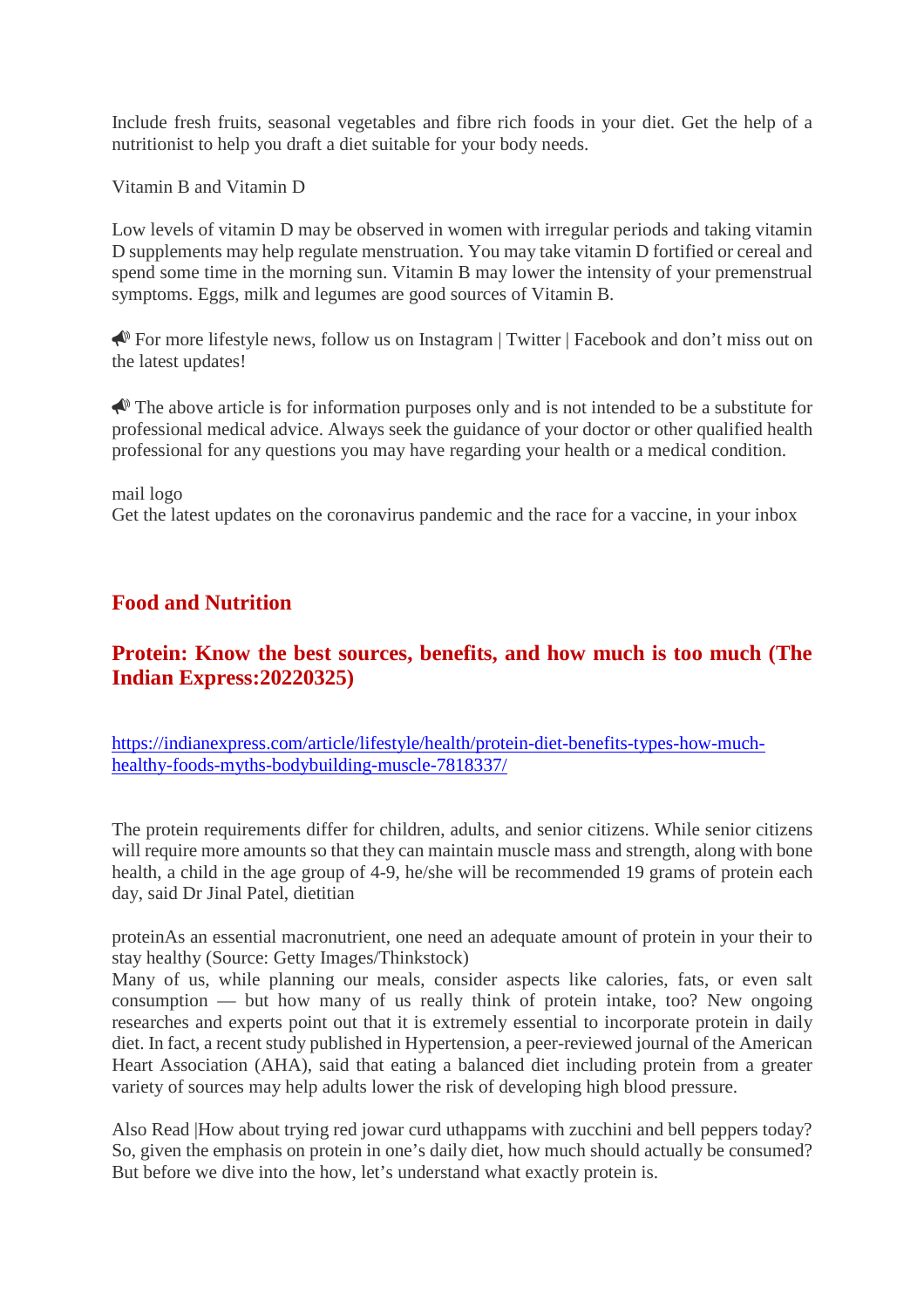Include fresh fruits, seasonal vegetables and fibre rich foods in your diet. Get the help of a nutritionist to help you draft a diet suitable for your body needs.

Vitamin B and Vitamin D

Low levels of vitamin D may be observed in women with irregular periods and taking vitamin D supplements may help regulate menstruation. You may take vitamin D fortified or cereal and spend some time in the morning sun. Vitamin B may lower the intensity of your premenstrual symptoms. Eggs, milk and legumes are good sources of Vitamin B.

For more lifestyle news, follow us on Instagram | Twitter | Facebook and don't miss out on the latest updates!

 $\triangle$  The above article is for information purposes only and is not intended to be a substitute for professional medical advice. Always seek the guidance of your doctor or other qualified health professional for any questions you may have regarding your health or a medical condition.

#### mail logo

Get the latest updates on the coronavirus pandemic and the race for a vaccine, in your inbox

#### **Food and Nutrition**

#### **Protein: Know the best sources, benefits, and how much is too much (The Indian Express:20220325)**

https://indianexpress.com/article/lifestyle/health/protein-diet-benefits-types-how-muchhealthy-foods-myths-bodybuilding-muscle-7818337/

The protein requirements differ for children, adults, and senior citizens. While senior citizens will require more amounts so that they can maintain muscle mass and strength, along with bone health, a child in the age group of 4-9, he/she will be recommended 19 grams of protein each day, said Dr Jinal Patel, dietitian

proteinAs an essential macronutrient, one need an adequate amount of protein in your their to stay healthy (Source: Getty Images/Thinkstock)

Many of us, while planning our meals, consider aspects like calories, fats, or even salt consumption — but how many of us really think of protein intake, too? New ongoing researches and experts point out that it is extremely essential to incorporate protein in daily diet. In fact, a recent study published in Hypertension, a peer-reviewed journal of the American Heart Association (AHA), said that eating a balanced diet including protein from a greater variety of sources may help adults lower the risk of developing high blood pressure.

Also Read |How about trying red jowar curd uthappams with zucchini and bell peppers today? So, given the emphasis on protein in one's daily diet, how much should actually be consumed? But before we dive into the how, let's understand what exactly protein is.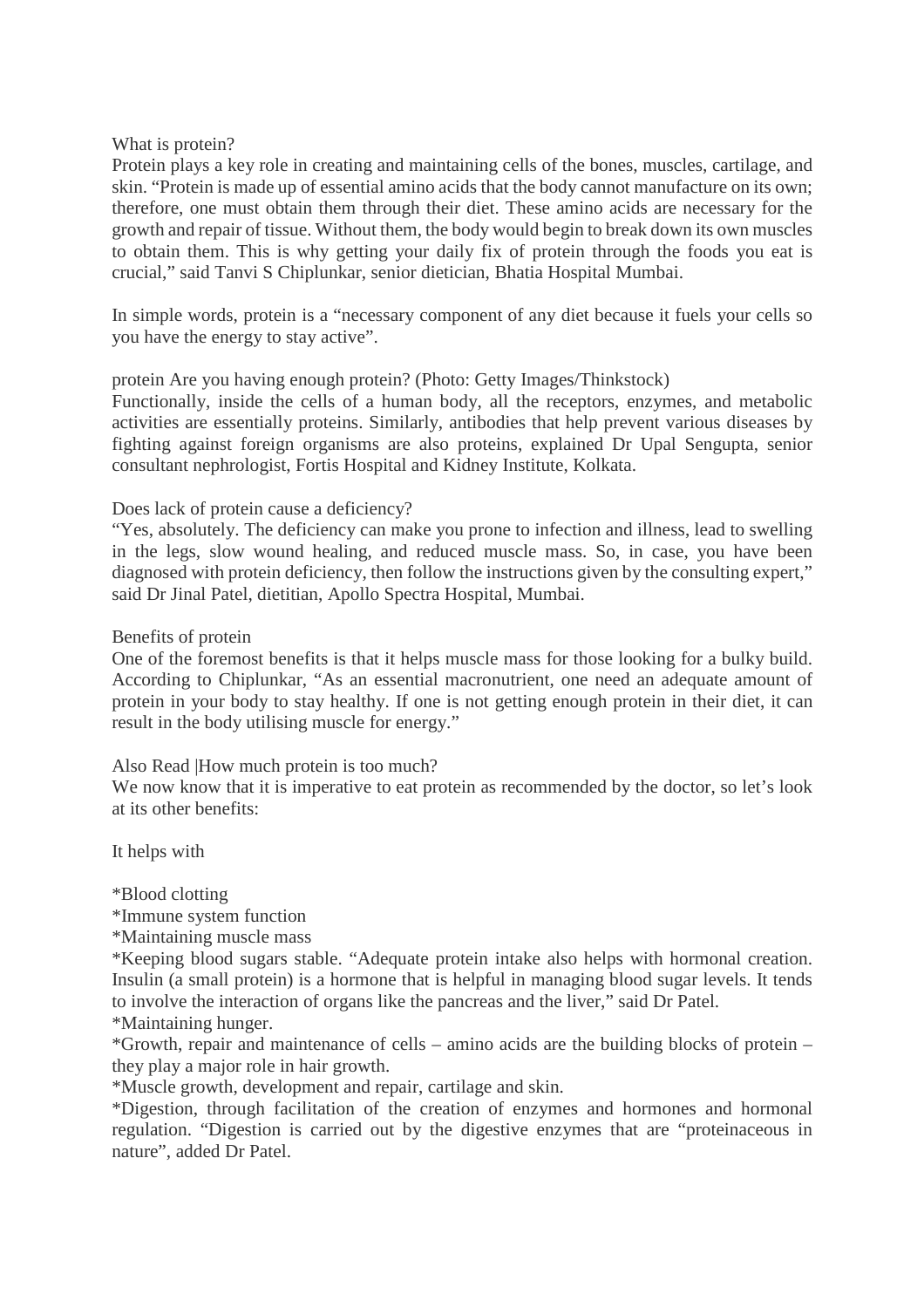What is protein?

Protein plays a key role in creating and maintaining cells of the bones, muscles, cartilage, and skin. "Protein is made up of essential amino acids that the body cannot manufacture on its own; therefore, one must obtain them through their diet. These amino acids are necessary for the growth and repair of tissue. Without them, the body would begin to break down its own muscles to obtain them. This is why getting your daily fix of protein through the foods you eat is crucial," said Tanvi S Chiplunkar, senior dietician, Bhatia Hospital Mumbai.

In simple words, protein is a "necessary component of any diet because it fuels your cells so you have the energy to stay active".

protein Are you having enough protein? (Photo: Getty Images/Thinkstock)

Functionally, inside the cells of a human body, all the receptors, enzymes, and metabolic activities are essentially proteins. Similarly, antibodies that help prevent various diseases by fighting against foreign organisms are also proteins, explained Dr Upal Sengupta, senior consultant nephrologist, Fortis Hospital and Kidney Institute, Kolkata.

#### Does lack of protein cause a deficiency?

"Yes, absolutely. The deficiency can make you prone to infection and illness, lead to swelling in the legs, slow wound healing, and reduced muscle mass. So, in case, you have been diagnosed with protein deficiency, then follow the instructions given by the consulting expert," said Dr Jinal Patel, dietitian, Apollo Spectra Hospital, Mumbai.

Benefits of protein

One of the foremost benefits is that it helps muscle mass for those looking for a bulky build. According to Chiplunkar, "As an essential macronutrient, one need an adequate amount of protein in your body to stay healthy. If one is not getting enough protein in their diet, it can result in the body utilising muscle for energy."

Also Read |How much protein is too much?

We now know that it is imperative to eat protein as recommended by the doctor, so let's look at its other benefits:

It helps with

\*Blood clotting

\*Immune system function

\*Maintaining muscle mass

\*Keeping blood sugars stable. "Adequate protein intake also helps with hormonal creation. Insulin (a small protein) is a hormone that is helpful in managing blood sugar levels. It tends to involve the interaction of organs like the pancreas and the liver," said Dr Patel.

\*Maintaining hunger.

\*Growth, repair and maintenance of cells – amino acids are the building blocks of protein – they play a major role in hair growth.

\*Muscle growth, development and repair, cartilage and skin.

\*Digestion, through facilitation of the creation of enzymes and hormones and hormonal regulation. "Digestion is carried out by the digestive enzymes that are "proteinaceous in nature", added Dr Patel.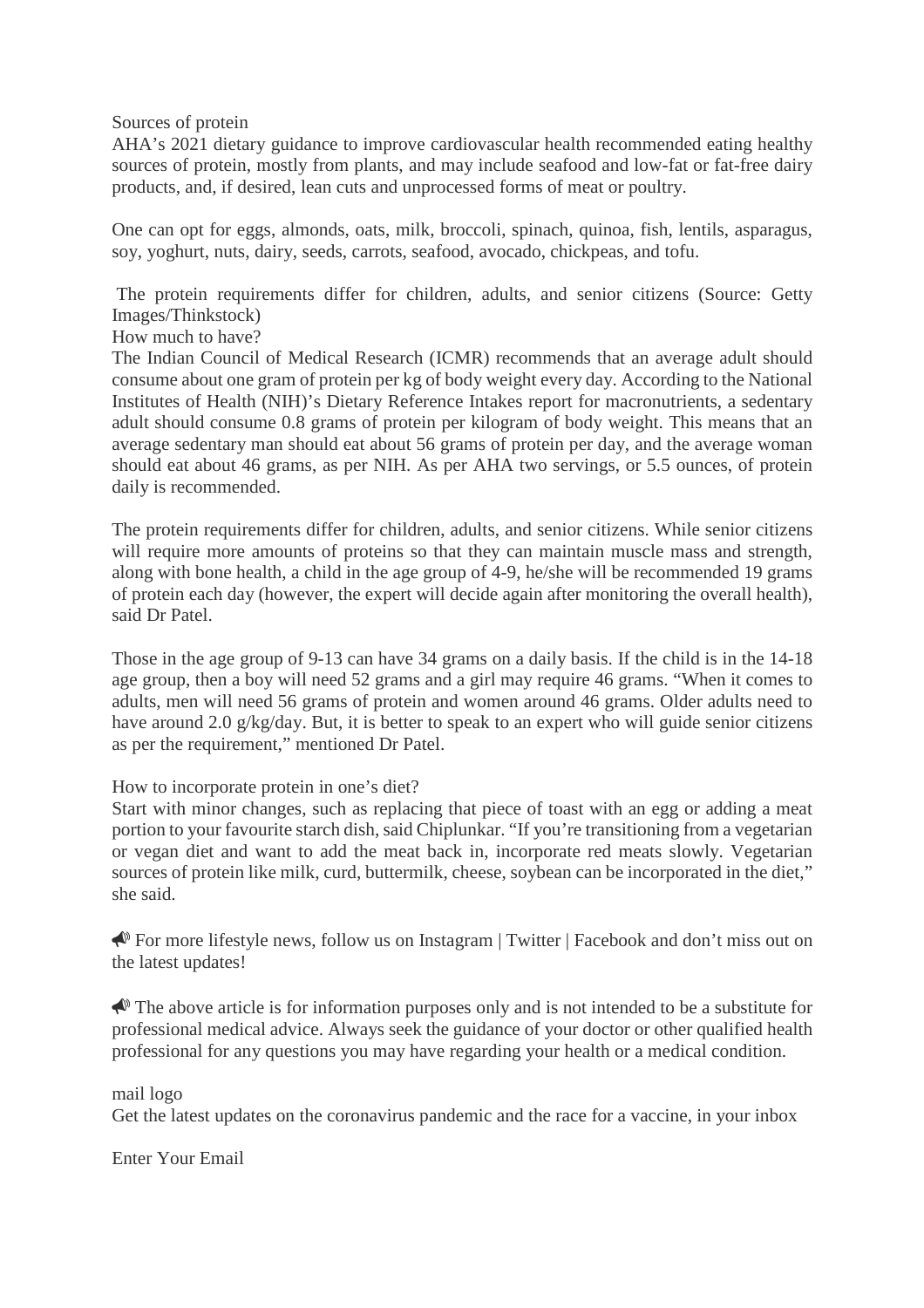Sources of protein

AHA's 2021 dietary guidance to improve cardiovascular health recommended eating healthy sources of protein, mostly from plants, and may include seafood and low-fat or fat-free dairy products, and, if desired, lean cuts and unprocessed forms of meat or poultry.

One can opt for eggs, almonds, oats, milk, broccoli, spinach, quinoa, fish, lentils, asparagus, soy, yoghurt, nuts, dairy, seeds, carrots, seafood, avocado, chickpeas, and tofu.

The protein requirements differ for children, adults, and senior citizens (Source: Getty Images/Thinkstock)

How much to have?

The Indian Council of Medical Research (ICMR) recommends that an average adult should consume about one gram of protein per kg of body weight every day. According to the National Institutes of Health (NIH)'s Dietary Reference Intakes report for macronutrients, a sedentary adult should consume 0.8 grams of protein per kilogram of body weight. This means that an average sedentary man should eat about 56 grams of protein per day, and the average woman should eat about 46 grams, as per NIH. As per AHA two servings, or 5.5 ounces, of protein daily is recommended.

The protein requirements differ for children, adults, and senior citizens. While senior citizens will require more amounts of proteins so that they can maintain muscle mass and strength, along with bone health, a child in the age group of 4-9, he/she will be recommended 19 grams of protein each day (however, the expert will decide again after monitoring the overall health), said Dr Patel.

Those in the age group of 9-13 can have 34 grams on a daily basis. If the child is in the 14-18 age group, then a boy will need 52 grams and a girl may require 46 grams. "When it comes to adults, men will need 56 grams of protein and women around 46 grams. Older adults need to have around 2.0 g/kg/day. But, it is better to speak to an expert who will guide senior citizens as per the requirement," mentioned Dr Patel.

How to incorporate protein in one's diet?

Start with minor changes, such as replacing that piece of toast with an egg or adding a meat portion to your favourite starch dish, said Chiplunkar. "If you're transitioning from a vegetarian or vegan diet and want to add the meat back in, incorporate red meats slowly. Vegetarian sources of protein like milk, curd, buttermilk, cheese, soybean can be incorporated in the diet," she said.

 For more lifestyle news, follow us on Instagram | Twitter | Facebook and don't miss out on the latest updates!

 $\triangle$  The above article is for information purposes only and is not intended to be a substitute for professional medical advice. Always seek the guidance of your doctor or other qualified health professional for any questions you may have regarding your health or a medical condition.

mail logo

Get the latest updates on the coronavirus pandemic and the race for a vaccine, in your inbox

Enter Your Email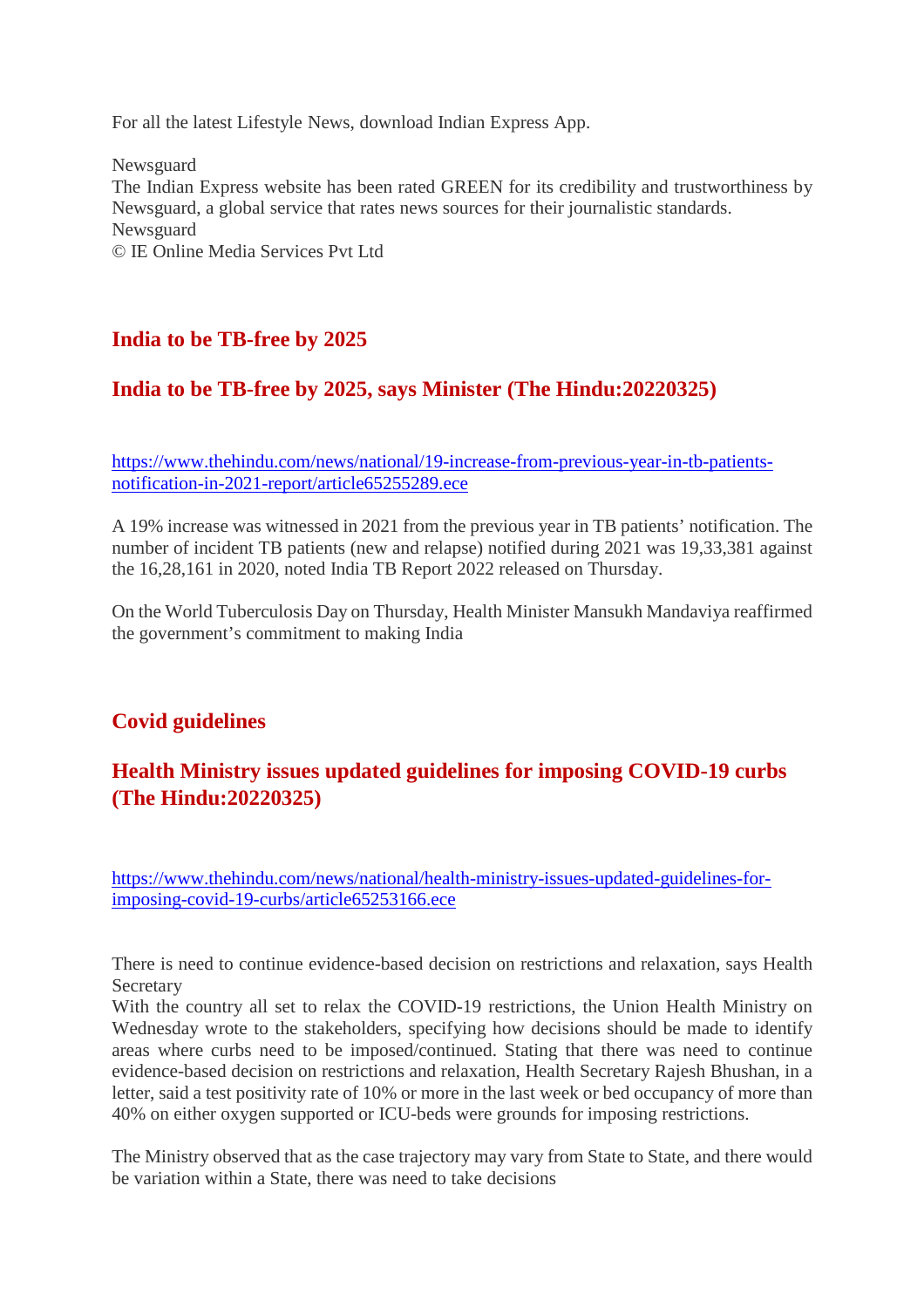For all the latest Lifestyle News, download Indian Express App.

**Newsguard** The Indian Express website has been rated GREEN for its credibility and trustworthiness by Newsguard, a global service that rates news sources for their journalistic standards. Newsguard © IE Online Media Services Pvt Ltd

#### **India to be TB-free by 2025**

#### **India to be TB-free by 2025, says Minister (The Hindu:20220325)**

https://www.thehindu.com/news/national/19-increase-from-previous-year-in-tb-patientsnotification-in-2021-report/article65255289.ece

A 19% increase was witnessed in 2021 from the previous year in TB patients' notification. The number of incident TB patients (new and relapse) notified during 2021 was 19,33,381 against the 16,28,161 in 2020, noted India TB Report 2022 released on Thursday.

On the World Tuberculosis Day on Thursday, Health Minister Mansukh Mandaviya reaffirmed the government's commitment to making India

#### **Covid guidelines**

#### **Health Ministry issues updated guidelines for imposing COVID-19 curbs (The Hindu:20220325)**

https://www.thehindu.com/news/national/health-ministry-issues-updated-guidelines-forimposing-covid-19-curbs/article65253166.ece

There is need to continue evidence-based decision on restrictions and relaxation, says Health Secretary

With the country all set to relax the COVID-19 restrictions, the Union Health Ministry on Wednesday wrote to the stakeholders, specifying how decisions should be made to identify areas where curbs need to be imposed/continued. Stating that there was need to continue evidence-based decision on restrictions and relaxation, Health Secretary Rajesh Bhushan, in a letter, said a test positivity rate of 10% or more in the last week or bed occupancy of more than 40% on either oxygen supported or ICU-beds were grounds for imposing restrictions.

The Ministry observed that as the case trajectory may vary from State to State, and there would be variation within a State, there was need to take decisions